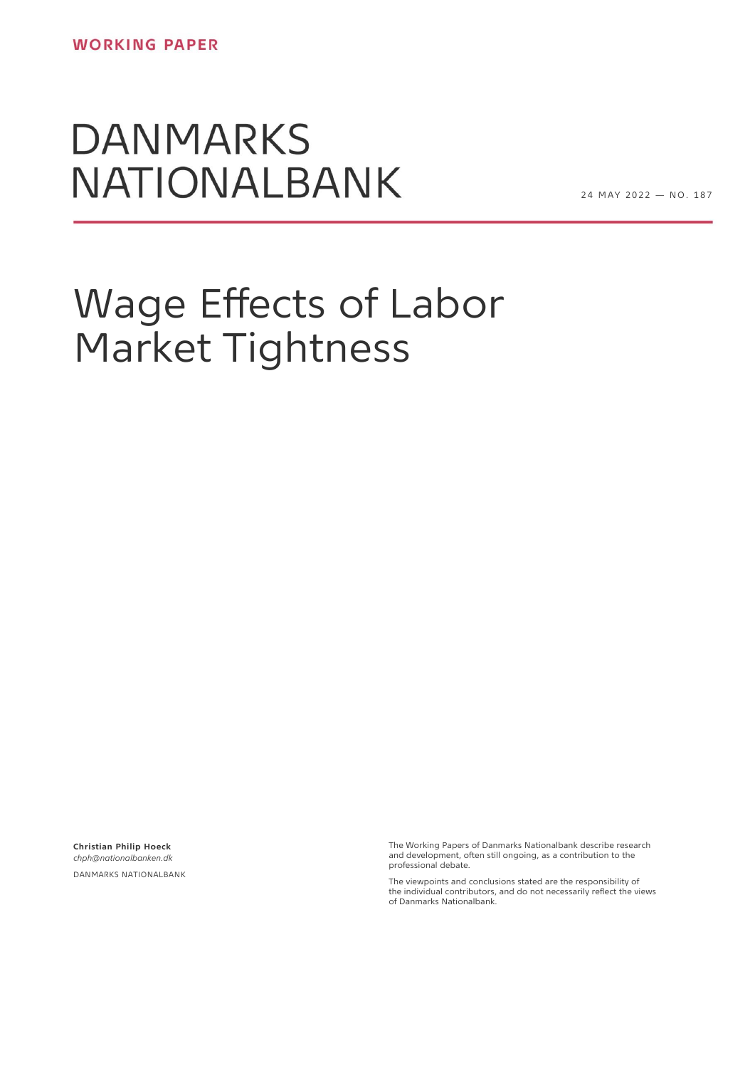# **DANMARKS NATIONALBANK**

24 MAY 2022 - NO. 187

# Wage Effects of Labor Market Tightness

**Christian Philip Hoeck** *chph@nationalbanken.dk* DANMARKS NATIONALBANK

The Working Papers of Danmarks Nationalbank describe research and development, often still ongoing, as a contribution to the professional debate.

The viewpoints and conclusions stated are the responsibility of the individual contributors, and do not necessarily reflect the views of Danmarks Nationalbank.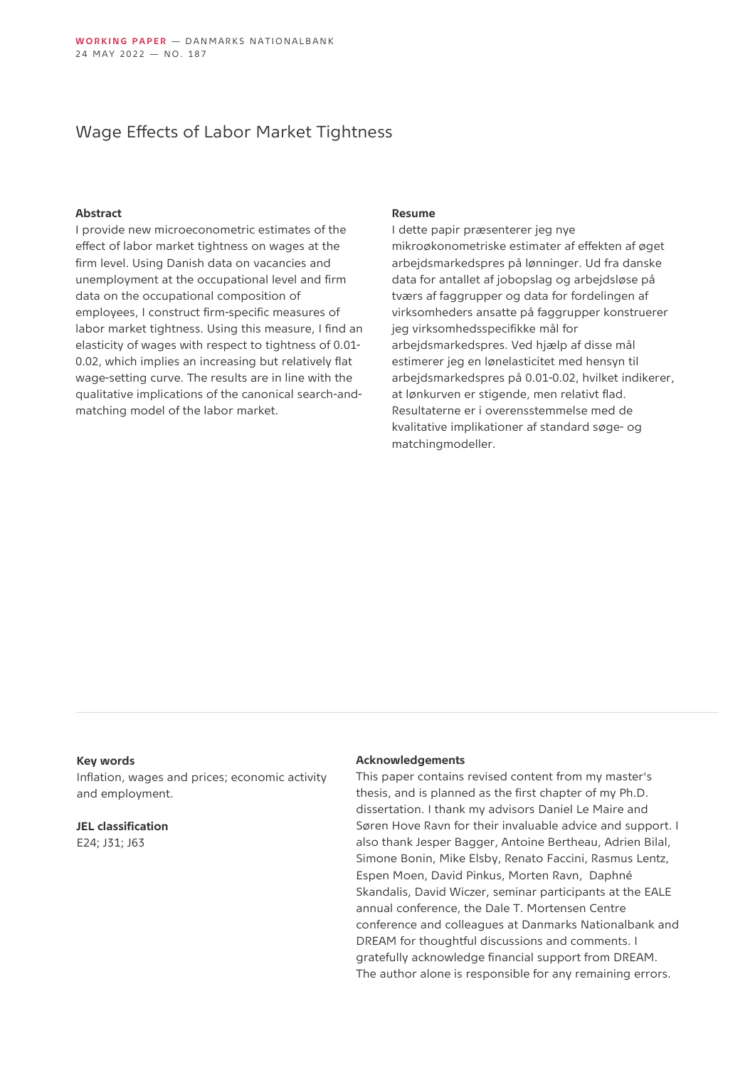### Wage Effects of Labor Market Tightness

#### **Abstract**

I provide new microeconometric estimates of the effect of labor market tightness on wages at the firm level. Using Danish data on vacancies and unemployment at the occupational level and firm data on the occupational composition of employees, I construct firm-specific measures of labor market tightness. Using this measure, I find an elasticity of wages with respect to tightness of 0.01- 0.02, which implies an increasing but relatively flat wage-setting curve. The results are in line with the qualitative implications of the canonical search-andmatching model of the labor market.

#### **Resume**

I dette papir præsenterer jeg nye mikroøkonometriske estimater af effekten af øget arbejdsmarkedspres på lønninger. Ud fra danske data for antallet af jobopslag og arbejdsløse på tværs af faggrupper og data for fordelingen af virksomheders ansatte på faggrupper konstruerer jeg virksomhedsspecifikke mål for arbejdsmarkedspres. Ved hjælp af disse mål estimerer jeg en lønelasticitet med hensyn til arbejdsmarkedspres på 0.01-0.02, hvilket indikerer, at lønkurven er stigende, men relativt flad. Resultaterne er i overensstemmelse med de kvalitative implikationer af standard søge- og matchingmodeller.

#### **Key words**

Inflation, wages and prices; economic activity and employment.

**JEL classification** E24; J31; J63

#### **Acknowledgements**

This paper contains revised content from my master's thesis, and is planned as the first chapter of my Ph.D. dissertation. I thank my advisors Daniel Le Maire and Søren Hove Ravn for their invaluable advice and support. I also thank Jesper Bagger, Antoine Bertheau, Adrien Bilal, Simone Bonin, Mike Elsby, Renato Faccini, Rasmus Lentz, Espen Moen, David Pinkus, Morten Ravn, Daphné Skandalis, David Wiczer, seminar participants at the EALE annual conference, the Dale T. Mortensen Centre conference and colleagues at Danmarks Nationalbank and DREAM for thoughtful discussions and comments. I gratefully acknowledge financial support from DREAM. The author alone is responsible for any remaining errors.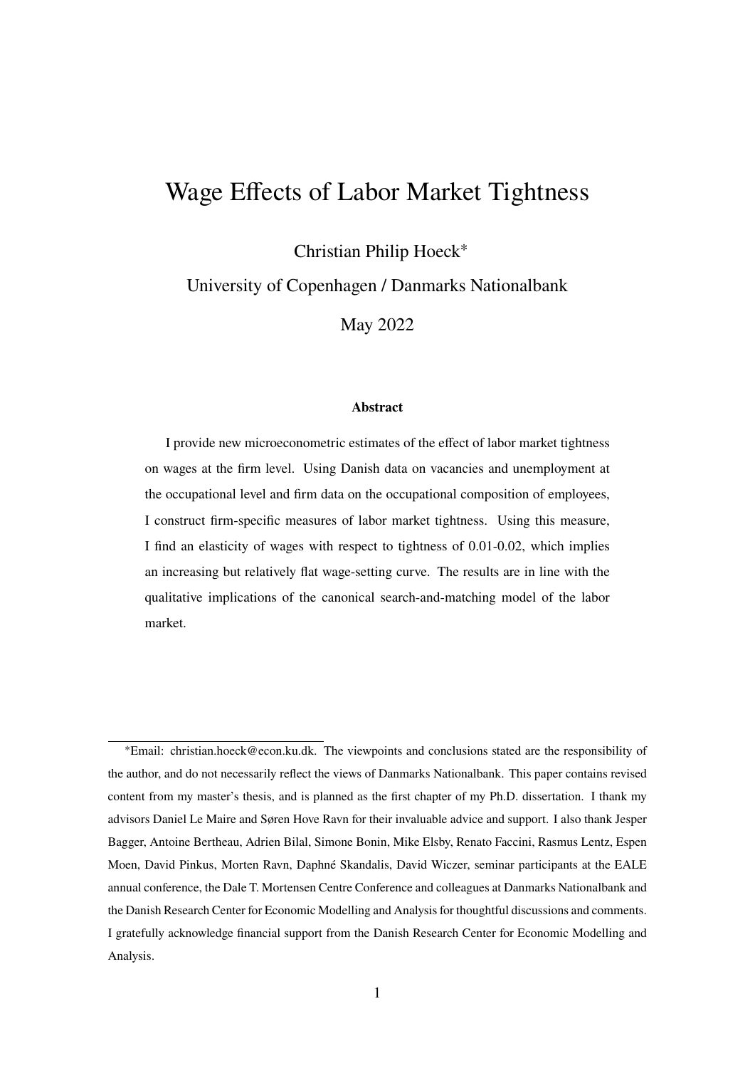# Wage Effects of Labor Market Tightness

Christian Philip Hoeck<sup>∗</sup>

University of Copenhagen / Danmarks Nationalbank

May 2022

#### **Abstract**

I provide new microeconometric estimates of the effect of labor market tightness on wages at the firm level. Using Danish data on vacancies and unemployment at the occupational level and firm data on the occupational composition of employees, I construct firm-specific measures of labor market tightness. Using this measure, I find an elasticity of wages with respect to tightness of 0.01-0.02, which implies an increasing but relatively flat wage-setting curve. The results are in line with the qualitative implications of the canonical search-and-matching model of the labor market.

<sup>∗</sup>Email: christian.hoeck@econ.ku.dk. The viewpoints and conclusions stated are the responsibility of the author, and do not necessarily reflect the views of Danmarks Nationalbank. This paper contains revised content from my master's thesis, and is planned as the first chapter of my Ph.D. dissertation. I thank my advisors Daniel Le Maire and Søren Hove Ravn for their invaluable advice and support. I also thank Jesper Bagger, Antoine Bertheau, Adrien Bilal, Simone Bonin, Mike Elsby, Renato Faccini, Rasmus Lentz, Espen Moen, David Pinkus, Morten Ravn, Daphné Skandalis, David Wiczer, seminar participants at the EALE annual conference, the Dale T. Mortensen Centre Conference and colleagues at Danmarks Nationalbank and the Danish Research Center for Economic Modelling and Analysis for thoughtful discussions and comments. I gratefully acknowledge financial support from the Danish Research Center for Economic Modelling and Analysis.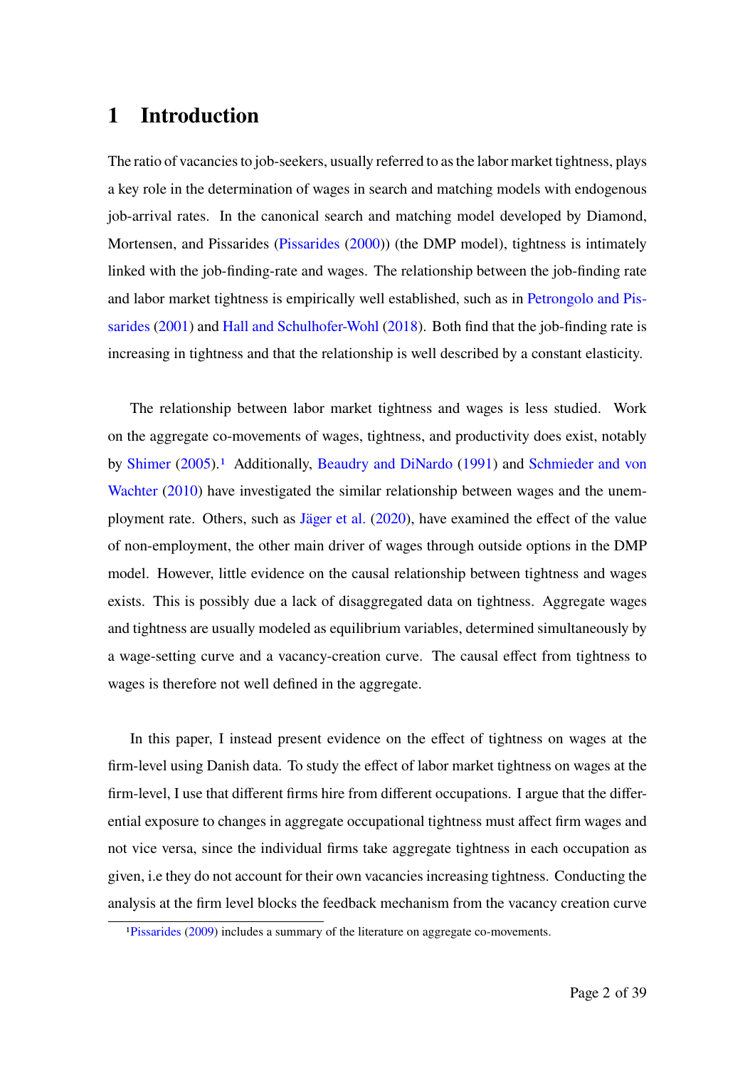# **1 Introduction**

The ratio of vacancies to job-seekers, usually referred to as the labor market tightness, plays a key role in the determination of wages in search and matching models with endogenous job-arrival rates. In the canonical search and matching model developed by Diamond, Mortensen, and Pissarides (Pissarides (2000)) (the DMP model), tightness is intimately linked with the job-finding-rate and wages. The relationship between the job-finding rate and labor market tightness is empirically well established, such as in Petrongolo and Pissarides (2001) and Hall and Schulhofer-Wohl (2018). Both find that the job-finding rate is increasing in tightness and that the relationship is well described by a constant elasticity.

The relationship between labor market tightness and wages is less studied. Work on the aggregate co-movements of wages, tightness, and productivity does exist, notably by Shimer (2005).<sup>1</sup> Additionally, Beaudry and DiNardo (1991) and Schmieder and von Wachter (2010) have investigated the similar relationship between wages and the unemployment rate. Others, such as Jäger et al. (2020), have examined the effect of the value of non-employment, the other main driver of wages through outside options in the DMP model. However, little evidence on the causal relationship between tightness and wages exists. This is possibly due a lack of disaggregated data on tightness. Aggregate wages and tightness are usually modeled as equilibrium variables, determined simultaneously by a wage-setting curve and a vacancy-creation curve. The causal effect from tightness to wages is therefore not well defined in the aggregate.

In this paper, I instead present evidence on the effect of tightness on wages at the firm-level using Danish data. To study the effect of labor market tightness on wages at the firm-level, I use that different firms hire from different occupations. I argue that the differential exposure to changes in aggregate occupational tightness must affect firm wages and not vice versa, since the individual firms take aggregate tightness in each occupation as given, i.e they do not account for their own vacancies increasing tightness. Conducting the analysis at the firm level blocks the feedback mechanism from the vacancy creation curve

<sup>1</sup>Pissarides (2009) includes a summary of the literature on aggregate co-movements.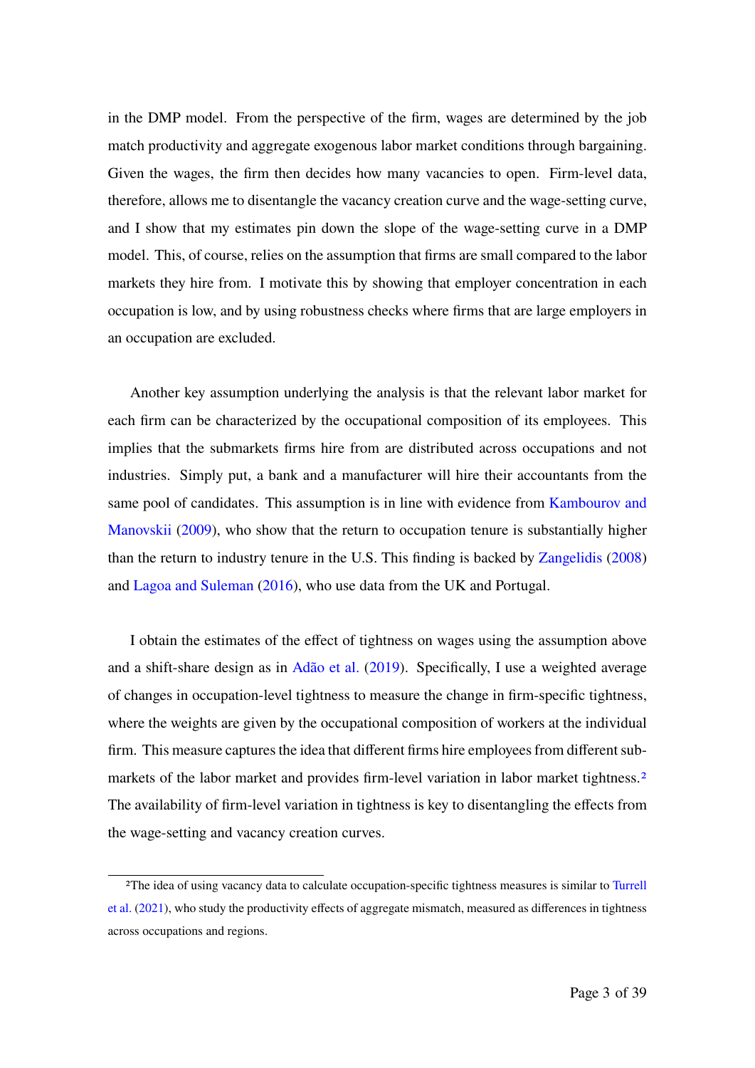in the DMP model. From the perspective of the firm, wages are determined by the job match productivity and aggregate exogenous labor market conditions through bargaining. Given the wages, the firm then decides how many vacancies to open. Firm-level data, therefore, allows me to disentangle the vacancy creation curve and the wage-setting curve, and I show that my estimates pin down the slope of the wage-setting curve in a DMP model. This, of course, relies on the assumption that firms are small compared to the labor markets they hire from. I motivate this by showing that employer concentration in each occupation is low, and by using robustness checks where firms that are large employers in an occupation are excluded.

Another key assumption underlying the analysis is that the relevant labor market for each firm can be characterized by the occupational composition of its employees. This implies that the submarkets firms hire from are distributed across occupations and not industries. Simply put, a bank and a manufacturer will hire their accountants from the same pool of candidates. This assumption is in line with evidence from Kambourov and Manovskii (2009), who show that the return to occupation tenure is substantially higher than the return to industry tenure in the U.S. This finding is backed by Zangelidis (2008) and Lagoa and Suleman (2016), who use data from the UK and Portugal.

I obtain the estimates of the effect of tightness on wages using the assumption above and a shift-share design as in Adão et al. (2019). Specifically, I use a weighted average of changes in occupation-level tightness to measure the change in firm-specific tightness, where the weights are given by the occupational composition of workers at the individual firm. This measure captures the idea that different firms hire employees from different submarkets of the labor market and provides firm-level variation in labor market tightness.<sup>2</sup> The availability of firm-level variation in tightness is key to disentangling the effects from the wage-setting and vacancy creation curves.

<sup>&</sup>lt;sup>2</sup>The idea of using vacancy data to calculate occupation-specific tightness measures is similar to Turrell et al. (2021), who study the productivity effects of aggregate mismatch, measured as differences in tightness across occupations and regions.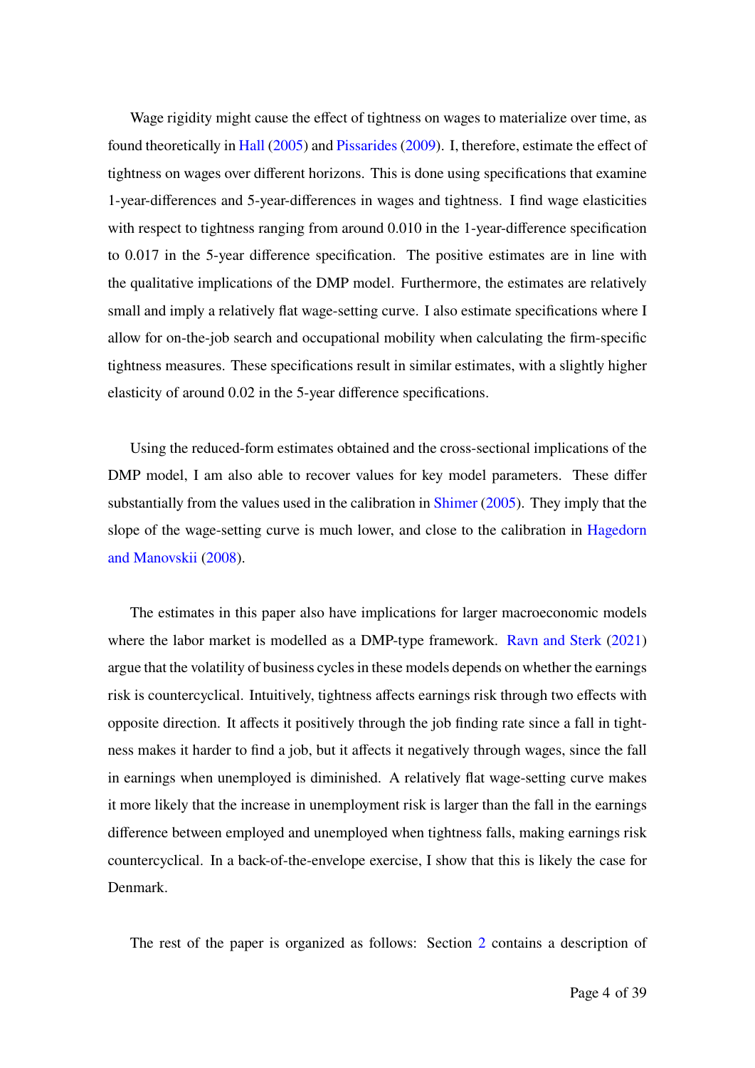Wage rigidity might cause the effect of tightness on wages to materialize over time, as found theoretically in Hall (2005) and Pissarides (2009). I, therefore, estimate the effect of tightness on wages over different horizons. This is done using specifications that examine 1-year-differences and 5-year-differences in wages and tightness. I find wage elasticities with respect to tightness ranging from around 0.010 in the 1-year-difference specification to 0.017 in the 5-year difference specification. The positive estimates are in line with the qualitative implications of the DMP model. Furthermore, the estimates are relatively small and imply a relatively flat wage-setting curve. I also estimate specifications where I allow for on-the-job search and occupational mobility when calculating the firm-specific tightness measures. These specifications result in similar estimates, with a slightly higher elasticity of around 0.02 in the 5-year difference specifications.

Using the reduced-form estimates obtained and the cross-sectional implications of the DMP model, I am also able to recover values for key model parameters. These differ substantially from the values used in the calibration in Shimer (2005). They imply that the slope of the wage-setting curve is much lower, and close to the calibration in Hagedorn and Manovskii (2008).

The estimates in this paper also have implications for larger macroeconomic models where the labor market is modelled as a DMP-type framework. Ravn and Sterk (2021) argue that the volatility of business cycles in these models depends on whether the earnings risk is countercyclical. Intuitively, tightness affects earnings risk through two effects with opposite direction. It affects it positively through the job finding rate since a fall in tightness makes it harder to find a job, but it affects it negatively through wages, since the fall in earnings when unemployed is diminished. A relatively flat wage-setting curve makes it more likely that the increase in unemployment risk is larger than the fall in the earnings difference between employed and unemployed when tightness falls, making earnings risk countercyclical. In a back-of-the-envelope exercise, I show that this is likely the case for Denmark.

The rest of the paper is organized as follows: Section 2 contains a description of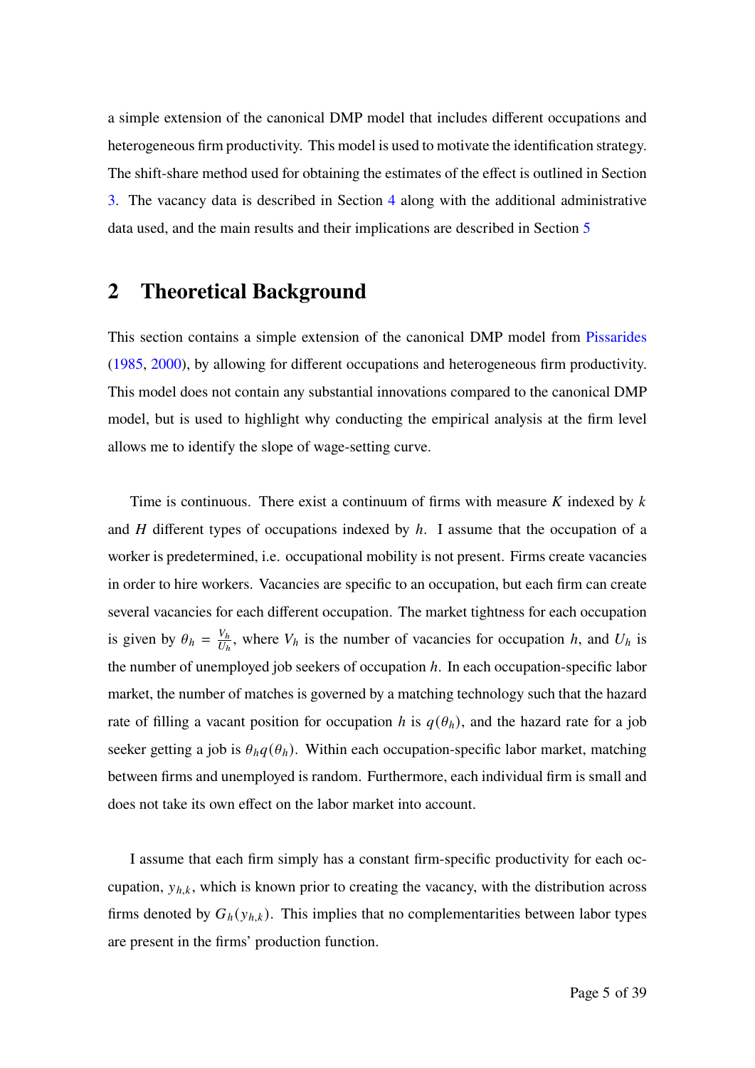a simple extension of the canonical DMP model that includes different occupations and heterogeneous firm productivity. This model is used to motivate the identification strategy. The shift-share method used for obtaining the estimates of the effect is outlined in Section 3. The vacancy data is described in Section 4 along with the additional administrative data used, and the main results and their implications are described in Section 5

# **2 Theoretical Background**

This section contains a simple extension of the canonical DMP model from Pissarides (1985, 2000), by allowing for different occupations and heterogeneous firm productivity. This model does not contain any substantial innovations compared to the canonical DMP model, but is used to highlight why conducting the empirical analysis at the firm level allows me to identify the slope of wage-setting curve.

Time is continuous. There exist a continuum of firms with measure  $K$  indexed by  $k$ and  $H$  different types of occupations indexed by  $h$ . I assume that the occupation of a worker is predetermined, i.e. occupational mobility is not present. Firms create vacancies in order to hire workers. Vacancies are specific to an occupation, but each firm can create several vacancies for each different occupation. The market tightness for each occupation is given by  $\theta_h = \frac{V_h}{U_h}$  $\frac{V_h}{U_h}$ , where  $V_h$  is the number of vacancies for occupation h, and  $U_h$  is the number of unemployed job seekers of occupation  $h$ . In each occupation-specific labor market, the number of matches is governed by a matching technology such that the hazard rate of filling a vacant position for occupation h is  $q(\theta_h)$ , and the hazard rate for a job seeker getting a job is  $\theta_h q(\theta_h)$ . Within each occupation-specific labor market, matching between firms and unemployed is random. Furthermore, each individual firm is small and does not take its own effect on the labor market into account.

I assume that each firm simply has a constant firm-specific productivity for each occupation,  $y_{h,k}$ , which is known prior to creating the vacancy, with the distribution across firms denoted by  $G_h(y_{h,k})$ . This implies that no complementarities between labor types are present in the firms' production function.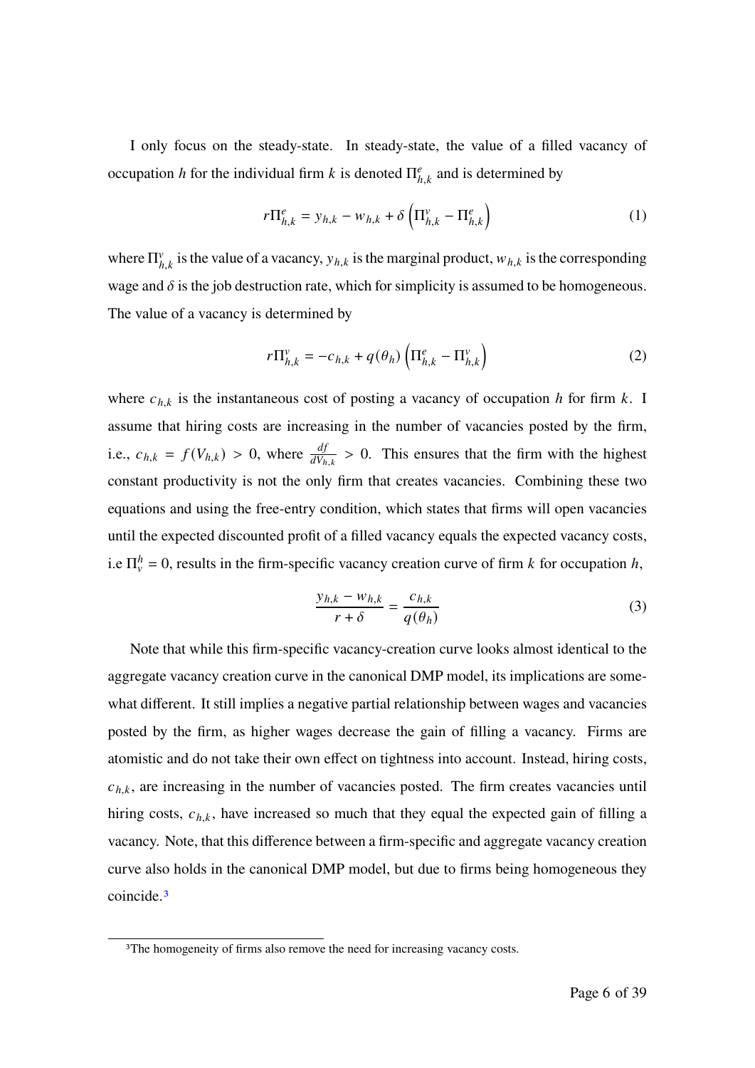I only focus on the steady-state. In steady-state, the value of a filled vacancy of occupation h for the individual firm k is denoted  $\prod_{h,k}^{e}$  and is determined by

$$
r\Pi_{h,k}^e = y_{h,k} - w_{h,k} + \delta \left( \Pi_{h,k}^v - \Pi_{h,k}^e \right)
$$
 (1)

where  $\Pi_{h,k}^{\nu}$  is the value of a vacancy,  $y_{h,k}$  is the marginal product,  $w_{h,k}$  is the corresponding wage and  $\delta$  is the job destruction rate, which for simplicity is assumed to be homogeneous. The value of a vacancy is determined by

$$
r\Pi_{h,k}^{\nu} = -c_{h,k} + q(\theta_h) \left( \Pi_{h,k}^e - \Pi_{h,k}^{\nu} \right)
$$
 (2)

where  $c_{h,k}$  is the instantaneous cost of posting a vacancy of occupation h for firm k. I assume that hiring costs are increasing in the number of vacancies posted by the firm, i.e.,  $c_{h,k} = f(V_{h,k}) > 0$ , where  $\frac{df}{dV_{h,k}} > 0$ . This ensures that the firm with the highest constant productivity is not the only firm that creates vacancies. Combining these two equations and using the free-entry condition, which states that firms will open vacancies until the expected discounted profit of a filled vacancy equals the expected vacancy costs, i.e  $\Pi_{v}^{h} = 0$ , results in the firm-specific vacancy creation curve of firm k for occupation h,

$$
\frac{y_{h,k} - w_{h,k}}{r + \delta} = \frac{c_{h,k}}{q(\theta_h)}
$$
(3)

Note that while this firm-specific vacancy-creation curve looks almost identical to the aggregate vacancy creation curve in the canonical DMP model, its implications are somewhat different. It still implies a negative partial relationship between wages and vacancies posted by the firm, as higher wages decrease the gain of filling a vacancy. Firms are atomistic and do not take their own effect on tightness into account. Instead, hiring costs,  $c_{h,k}$ , are increasing in the number of vacancies posted. The firm creates vacancies until hiring costs,  $c_{h,k}$ , have increased so much that they equal the expected gain of filling a vacancy. Note, that this difference between a firm-specific and aggregate vacancy creation curve also holds in the canonical DMP model, but due to firms being homogeneous they coincide.3

<sup>&</sup>lt;sup>3</sup>The homogeneity of firms also remove the need for increasing vacancy costs.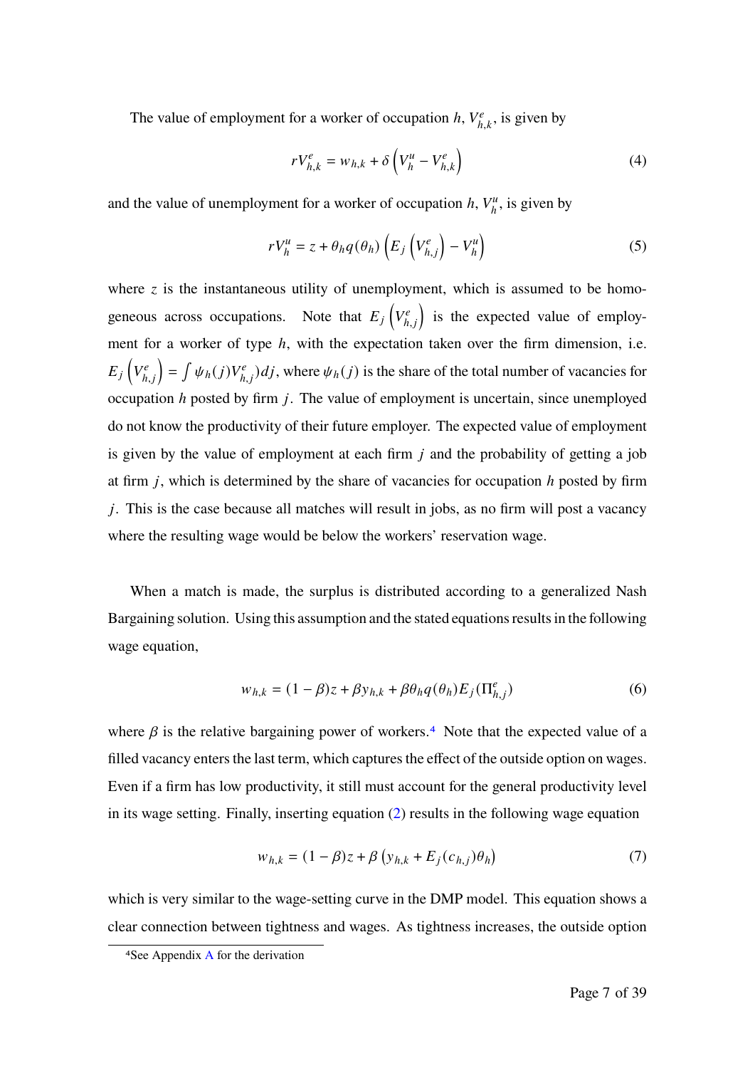The value of employment for a worker of occupation  $h, V_{h,k}^e$ , is given by

$$
rV_{h,k}^e = w_{h,k} + \delta \left( V_h^u - V_{h,k}^e \right) \tag{4}
$$

and the value of unemployment for a worker of occupation  $h, V_h^u$  $\eta_h^u$ , is given by

$$
rV_h^u = z + \theta_h q(\theta_h) \left( E_j \left( V_{h,j}^e \right) - V_h^u \right) \tag{5}
$$

where  $\zeta$  is the instantaneous utility of unemployment, which is assumed to be homogeneous across occupations. Note that  $E_j\left(V_{h,j}^e\right)$  is the expected value of employment for a worker of type  $h$ , with the expectation taken over the firm dimension, i.e.  $E_j\left(V_{h,j}^e\right) = \int \psi_h(j)V_{h,j}^e) dj$ , where  $\psi_h(j)$  is the share of the total number of vacancies for occupation  $h$  posted by firm  $i$ . The value of employment is uncertain, since unemployed do not know the productivity of their future employer. The expected value of employment is given by the value of employment at each firm  $j$  and the probability of getting a job at firm  $j$ , which is determined by the share of vacancies for occupation  $h$  posted by firm  $\dot{j}$ . This is the case because all matches will result in jobs, as no firm will post a vacancy where the resulting wage would be below the workers' reservation wage.

When a match is made, the surplus is distributed according to a generalized Nash Bargaining solution. Using this assumption and the stated equations results in the following wage equation,

$$
w_{h,k} = (1 - \beta)z + \beta y_{h,k} + \beta \theta_h q(\theta_h) E_j(\Pi_{h,i}^e)
$$
 (6)

where  $\beta$  is the relative bargaining power of workers.<sup>4</sup> Note that the expected value of a filled vacancy enters the last term, which captures the effect of the outside option on wages. Even if a firm has low productivity, it still must account for the general productivity level in its wage setting. Finally, inserting equation (2) results in the following wage equation

$$
w_{h,k} = (1 - \beta)z + \beta \left( y_{h,k} + E_j(c_{h,j})\theta_h \right) \tag{7}
$$

which is very similar to the wage-setting curve in the DMP model. This equation shows a clear connection between tightness and wages. As tightness increases, the outside option

<sup>4</sup>See Appendix A for the derivation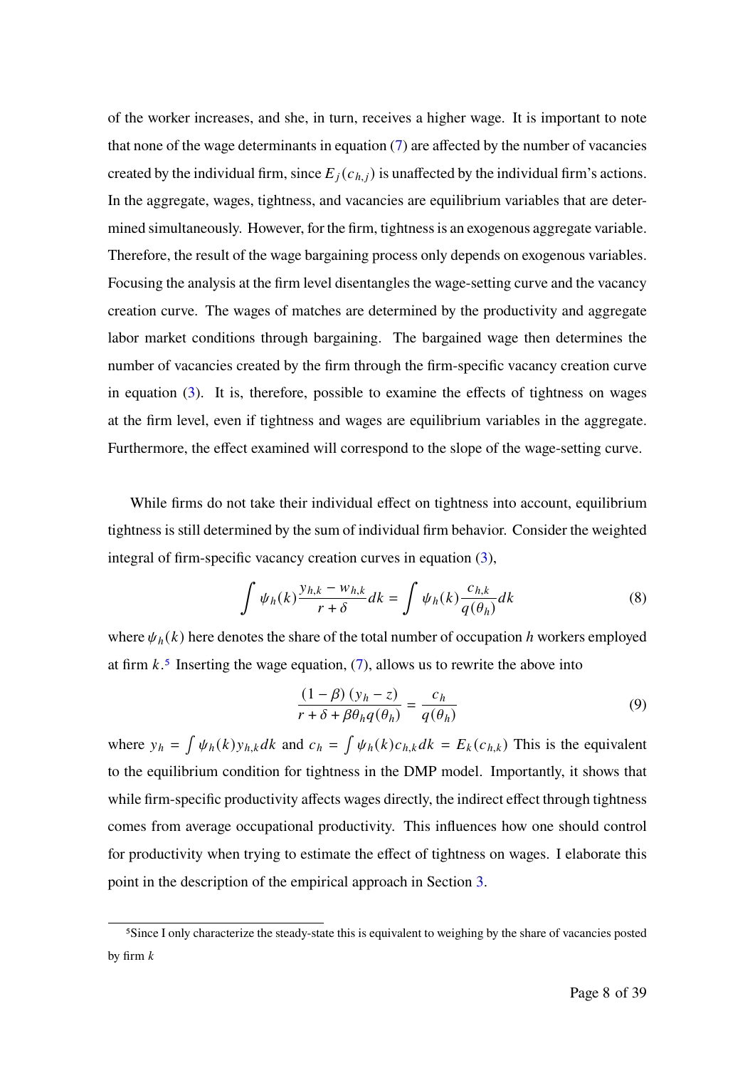of the worker increases, and she, in turn, receives a higher wage. It is important to note that none of the wage determinants in equation (7) are affected by the number of vacancies created by the individual firm, since  $E_i(c_{h,i})$  is unaffected by the individual firm's actions. In the aggregate, wages, tightness, and vacancies are equilibrium variables that are determined simultaneously. However, for the firm, tightness is an exogenous aggregate variable. Therefore, the result of the wage bargaining process only depends on exogenous variables. Focusing the analysis at the firm level disentangles the wage-setting curve and the vacancy creation curve. The wages of matches are determined by the productivity and aggregate labor market conditions through bargaining. The bargained wage then determines the number of vacancies created by the firm through the firm-specific vacancy creation curve in equation (3). It is, therefore, possible to examine the effects of tightness on wages at the firm level, even if tightness and wages are equilibrium variables in the aggregate. Furthermore, the effect examined will correspond to the slope of the wage-setting curve.

While firms do not take their individual effect on tightness into account, equilibrium tightness is still determined by the sum of individual firm behavior. Consider the weighted integral of firm-specific vacancy creation curves in equation (3),

$$
\int \psi_h(k) \frac{y_{h,k} - w_{h,k}}{r + \delta} dk = \int \psi_h(k) \frac{c_{h,k}}{q(\theta_h)} dk
$$
\n(8)

where  $\psi_h(k)$  here denotes the share of the total number of occupation h workers employed at firm  $k<sup>5</sup>$  Inserting the wage equation, (7), allows us to rewrite the above into

$$
\frac{(1 - \beta)(y_h - z)}{r + \delta + \beta \theta_h q(\theta_h)} = \frac{c_h}{q(\theta_h)}
$$
(9)

where  $y_h = \int \psi_h(k) y_{h,k} dk$  and  $c_h = \int \psi_h(k) c_{h,k} dk = E_k(c_{h,k})$  This is the equivalent to the equilibrium condition for tightness in the DMP model. Importantly, it shows that while firm-specific productivity affects wages directly, the indirect effect through tightness comes from average occupational productivity. This influences how one should control for productivity when trying to estimate the effect of tightness on wages. I elaborate this point in the description of the empirical approach in Section 3.

<sup>5</sup>Since I only characterize the steady-state this is equivalent to weighing by the share of vacancies posted by firm  $k$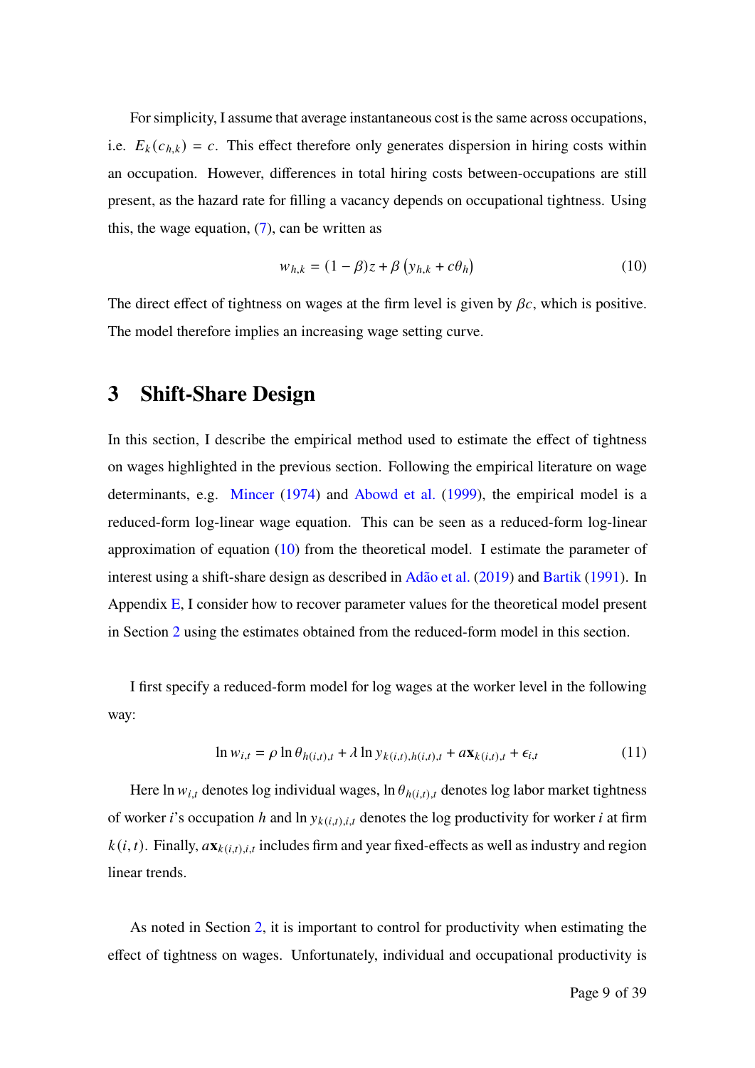For simplicity, I assume that average instantaneous cost is the same across occupations, i.e.  $E_k(c_{h,k}) = c$ . This effect therefore only generates dispersion in hiring costs within an occupation. However, differences in total hiring costs between-occupations are still present, as the hazard rate for filling a vacancy depends on occupational tightness. Using this, the wage equation,  $(7)$ , can be written as

$$
w_{h,k} = (1 - \beta)z + \beta \left( y_{h,k} + c\theta_h \right) \tag{10}
$$

The direct effect of tightness on wages at the firm level is given by  $\beta c$ , which is positive. The model therefore implies an increasing wage setting curve.

# **3 Shift-Share Design**

In this section, I describe the empirical method used to estimate the effect of tightness on wages highlighted in the previous section. Following the empirical literature on wage determinants, e.g. Mincer (1974) and Abowd et al. (1999), the empirical model is a reduced-form log-linear wage equation. This can be seen as a reduced-form log-linear approximation of equation  $(10)$  from the theoretical model. I estimate the parameter of interest using a shift-share design as described in Adão et al. (2019) and Bartik (1991). In Appendix  $E$ , I consider how to recover parameter values for the theoretical model present in Section 2 using the estimates obtained from the reduced-form model in this section.

I first specify a reduced-form model for log wages at the worker level in the following way:

$$
\ln w_{i,t} = \rho \ln \theta_{h(i,t),t} + \lambda \ln y_{k(i,t),h(i,t),t} + a \mathbf{x}_{k(i,t),t} + \epsilon_{i,t}
$$
\n(11)

Here ln  $w_{i,t}$  denotes log individual wages, ln  $\theta_{h(i,t),t}$  denotes log labor market tightness of worker *i*'s occupation *h* and ln  $y_{k(i,t),i,t}$  denotes the log productivity for worker *i* at firm  $k(i, t)$ . Finally,  $a\mathbf{x}_{k(i, t), i, t}$  includes firm and year fixed-effects as well as industry and region linear trends.

As noted in Section 2, it is important to control for productivity when estimating the effect of tightness on wages. Unfortunately, individual and occupational productivity is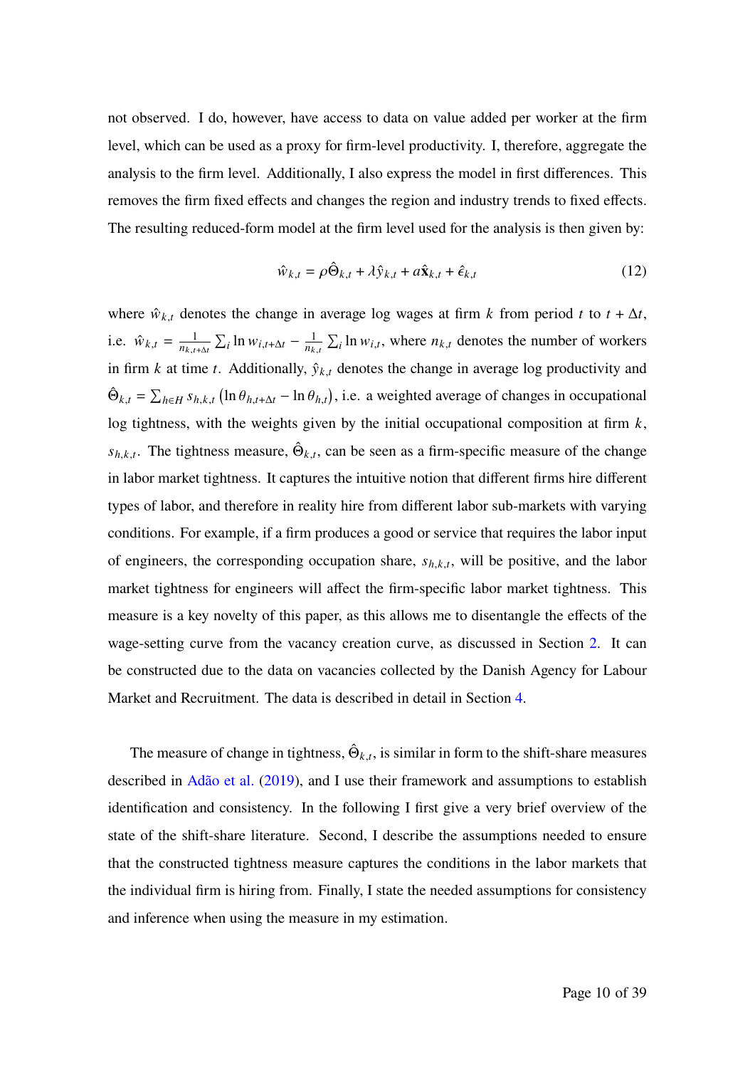not observed. I do, however, have access to data on value added per worker at the firm level, which can be used as a proxy for firm-level productivity. I, therefore, aggregate the analysis to the firm level. Additionally, I also express the model in first differences. This removes the firm fixed effects and changes the region and industry trends to fixed effects. The resulting reduced-form model at the firm level used for the analysis is then given by:

$$
\hat{w}_{k,t} = \rho \hat{\Theta}_{k,t} + \lambda \hat{y}_{k,t} + a \hat{\mathbf{x}}_{k,t} + \hat{\epsilon}_{k,t}
$$
(12)

where  $\hat{w}_{k,t}$  denotes the change in average log wages at firm k from period t to  $t + \Delta t$ , i.e.  $\hat{w}_{k,t} = \frac{1}{n_{k,t+\Delta t}} \sum_i \ln w_{i,t+\Delta t} - \frac{1}{n_{k,t}} \sum_i \ln w_{i,t}$ , where  $n_{k,t}$  denotes the number of workers in firm  $k$  at time  $t$ . Additionally,  $\hat{y}_{k,t}$  denotes the change in average log productivity and  $\hat{\Theta}_{k,t} = \sum_{h \in H} s_{h,k,t} (\ln \theta_{h,t+\Delta t} - \ln \theta_{h,t}),$  i.e. a weighted average of changes in occupational log tightness, with the weights given by the initial occupational composition at firm  $k$ ,  $s_{h,k,t}$ . The tightness measure,  $\hat{\Theta}_{k,t}$ , can be seen as a firm-specific measure of the change in labor market tightness. It captures the intuitive notion that different firms hire different types of labor, and therefore in reality hire from different labor sub-markets with varying conditions. For example, if a firm produces a good or service that requires the labor input of engineers, the corresponding occupation share,  $s_{h,k,t}$ , will be positive, and the labor market tightness for engineers will affect the firm-specific labor market tightness. This measure is a key novelty of this paper, as this allows me to disentangle the effects of the wage-setting curve from the vacancy creation curve, as discussed in Section 2. It can be constructed due to the data on vacancies collected by the Danish Agency for Labour Market and Recruitment. The data is described in detail in Section 4.

The measure of change in tightness,  $\hat{\Theta}_{k,t}$ , is similar in form to the shift-share measures described in Adão et al. (2019), and I use their framework and assumptions to establish identification and consistency. In the following I first give a very brief overview of the state of the shift-share literature. Second, I describe the assumptions needed to ensure that the constructed tightness measure captures the conditions in the labor markets that the individual firm is hiring from. Finally, I state the needed assumptions for consistency and inference when using the measure in my estimation.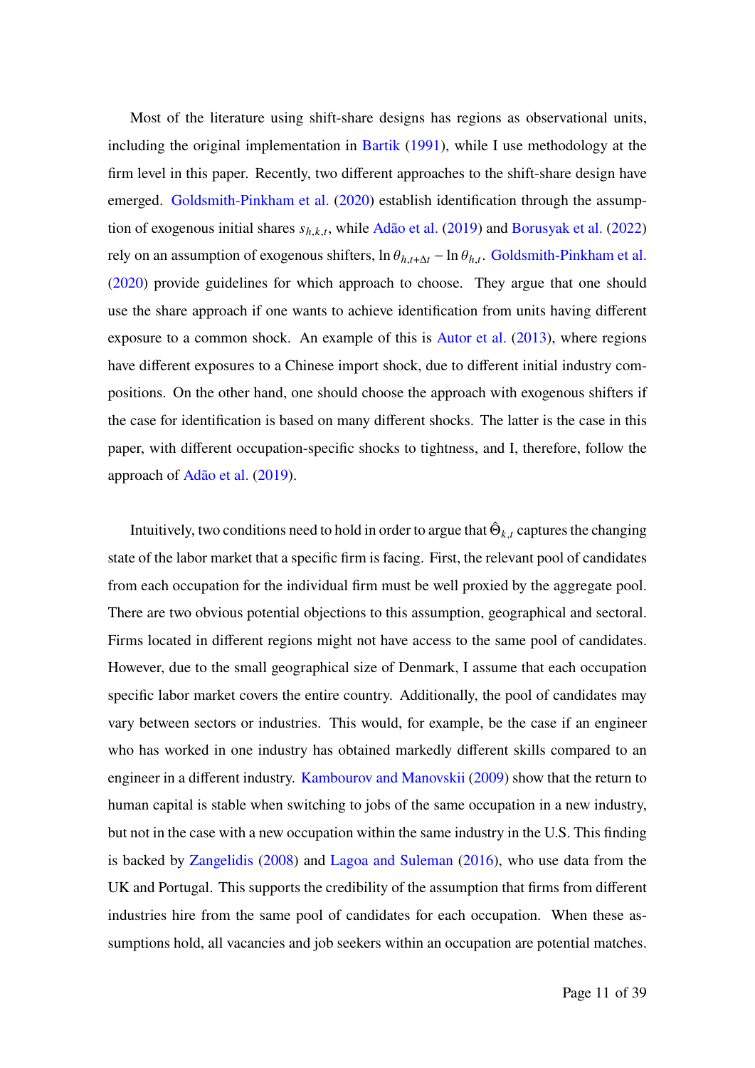Most of the literature using shift-share designs has regions as observational units, including the original implementation in Bartik (1991), while I use methodology at the firm level in this paper. Recently, two different approaches to the shift-share design have emerged. Goldsmith-Pinkham et al. (2020) establish identification through the assumption of exogenous initial shares  $s_{h,k,t}$ , while Adão et al. (2019) and Borusyak et al. (2022) rely on an assumption of exogenous shifters,  $\ln \theta_{h,t+\Delta t} - \ln \theta_{h,t}$ . Goldsmith-Pinkham et al. (2020) provide guidelines for which approach to choose. They argue that one should use the share approach if one wants to achieve identification from units having different exposure to a common shock. An example of this is Autor et al. (2013), where regions have different exposures to a Chinese import shock, due to different initial industry compositions. On the other hand, one should choose the approach with exogenous shifters if the case for identification is based on many different shocks. The latter is the case in this paper, with different occupation-specific shocks to tightness, and I, therefore, follow the approach of Adão et al. (2019).

Intuitively, two conditions need to hold in order to argue that  $\hat{\Theta}_{k,t}$  captures the changing state of the labor market that a specific firm is facing. First, the relevant pool of candidates from each occupation for the individual firm must be well proxied by the aggregate pool. There are two obvious potential objections to this assumption, geographical and sectoral. Firms located in different regions might not have access to the same pool of candidates. However, due to the small geographical size of Denmark, I assume that each occupation specific labor market covers the entire country. Additionally, the pool of candidates may vary between sectors or industries. This would, for example, be the case if an engineer who has worked in one industry has obtained markedly different skills compared to an engineer in a different industry. Kambourov and Manovskii (2009) show that the return to human capital is stable when switching to jobs of the same occupation in a new industry, but not in the case with a new occupation within the same industry in the U.S. This finding is backed by Zangelidis (2008) and Lagoa and Suleman (2016), who use data from the UK and Portugal. This supports the credibility of the assumption that firms from different industries hire from the same pool of candidates for each occupation. When these assumptions hold, all vacancies and job seekers within an occupation are potential matches.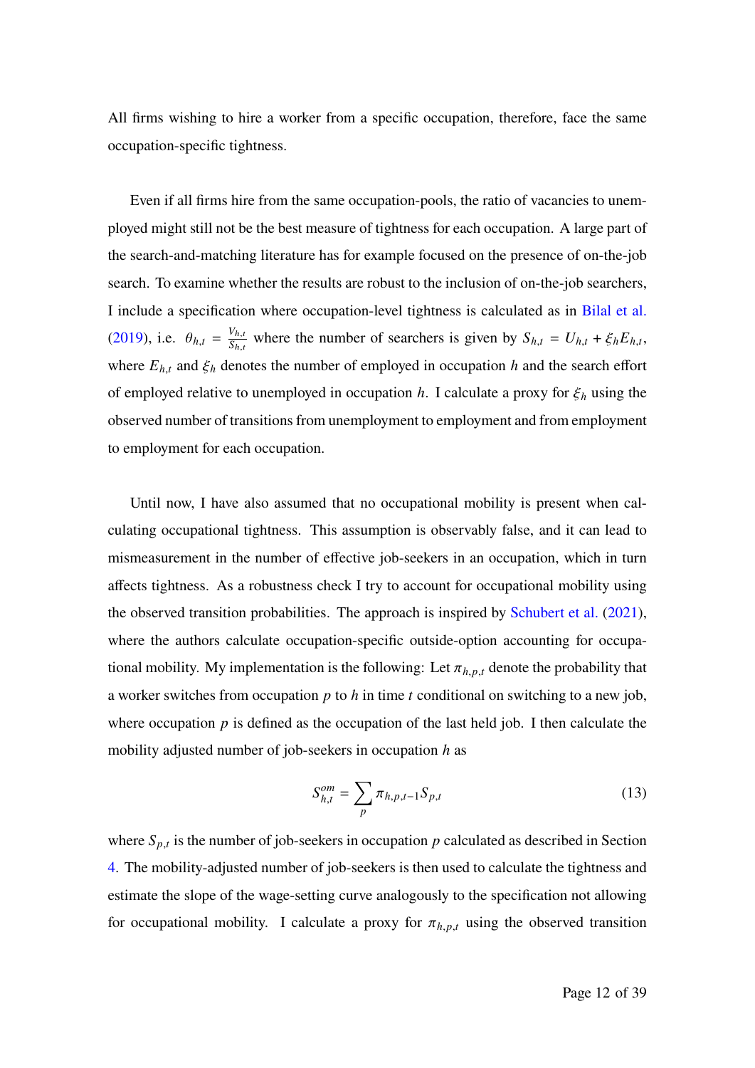All firms wishing to hire a worker from a specific occupation, therefore, face the same occupation-specific tightness.

Even if all firms hire from the same occupation-pools, the ratio of vacancies to unemployed might still not be the best measure of tightness for each occupation. A large part of the search-and-matching literature has for example focused on the presence of on-the-job search. To examine whether the results are robust to the inclusion of on-the-job searchers, I include a specification where occupation-level tightness is calculated as in Bilal et al. (2019), i.e.  $\theta_{h,t} = \frac{V_{h,t}}{S_{h,t}}$  $\frac{V_{h,t}}{S_{h,t}}$  where the number of searchers is given by  $S_{h,t} = U_{h,t} + \xi_h E_{h,t}$ , where  $E_{h,t}$  and  $\xi_h$  denotes the number of employed in occupation h and the search effort of employed relative to unemployed in occupation  $h$ . I calculate a proxy for  $\xi_h$  using the observed number of transitions from unemployment to employment and from employment to employment for each occupation.

Until now, I have also assumed that no occupational mobility is present when calculating occupational tightness. This assumption is observably false, and it can lead to mismeasurement in the number of effective job-seekers in an occupation, which in turn affects tightness. As a robustness check I try to account for occupational mobility using the observed transition probabilities. The approach is inspired by Schubert et al. (2021), where the authors calculate occupation-specific outside-option accounting for occupational mobility. My implementation is the following: Let  $\pi_{h,p,t}$  denote the probability that a worker switches from occupation  $p$  to  $h$  in time  $t$  conditional on switching to a new job, where occupation  $p$  is defined as the occupation of the last held job. I then calculate the mobility adjusted number of job-seekers in occupation  $h$  as

$$
S_{h,t}^{om} = \sum_{p} \pi_{h,p,t-1} S_{p,t}
$$
 (13)

where  $S_{p,t}$  is the number of job-seekers in occupation p calculated as described in Section 4. The mobility-adjusted number of job-seekers is then used to calculate the tightness and estimate the slope of the wage-setting curve analogously to the specification not allowing for occupational mobility. I calculate a proxy for  $\pi_{h,p,t}$  using the observed transition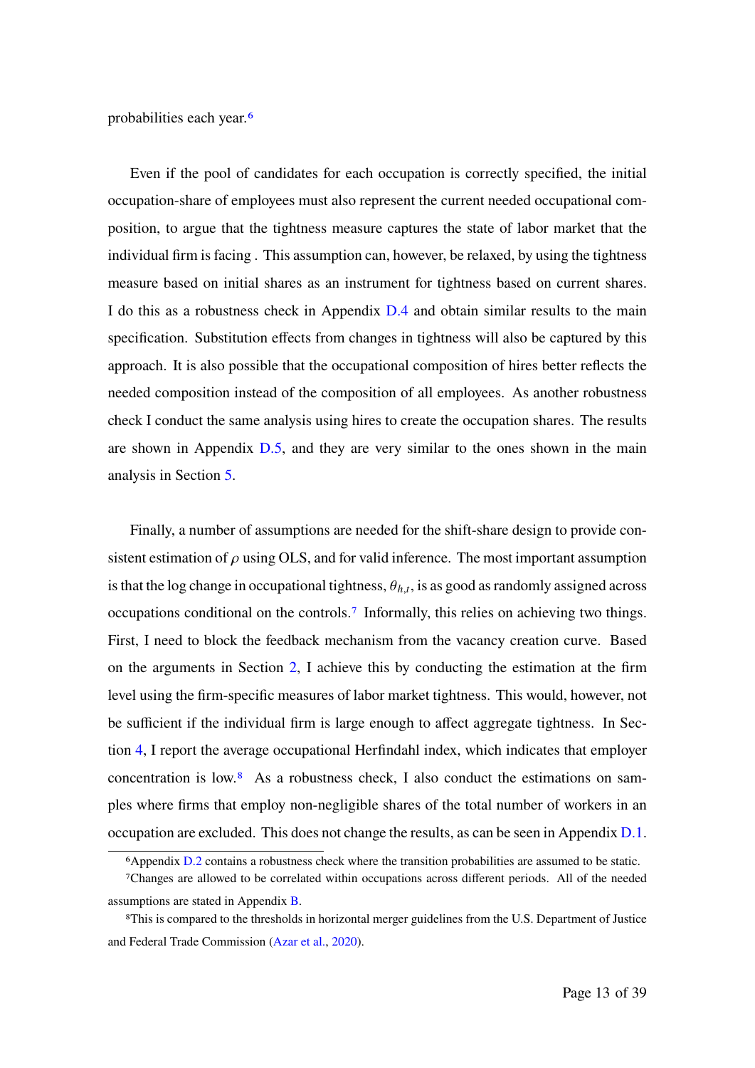probabilities each year.6

Even if the pool of candidates for each occupation is correctly specified, the initial occupation-share of employees must also represent the current needed occupational composition, to argue that the tightness measure captures the state of labor market that the individual firm is facing . This assumption can, however, be relaxed, by using the tightness measure based on initial shares as an instrument for tightness based on current shares. I do this as a robustness check in Appendix D.4 and obtain similar results to the main specification. Substitution effects from changes in tightness will also be captured by this approach. It is also possible that the occupational composition of hires better reflects the needed composition instead of the composition of all employees. As another robustness check I conduct the same analysis using hires to create the occupation shares. The results are shown in Appendix D.5, and they are very similar to the ones shown in the main analysis in Section 5.

Finally, a number of assumptions are needed for the shift-share design to provide consistent estimation of  $\rho$  using OLS, and for valid inference. The most important assumption is that the log change in occupational tightness,  $\theta_{h,t}$ , is as good as randomly assigned across occupations conditional on the controls.7 Informally, this relies on achieving two things. First, I need to block the feedback mechanism from the vacancy creation curve. Based on the arguments in Section 2, I achieve this by conducting the estimation at the firm level using the firm-specific measures of labor market tightness. This would, however, not be sufficient if the individual firm is large enough to affect aggregate tightness. In Section 4, I report the average occupational Herfindahl index, which indicates that employer concentration is low.8 As a robustness check, I also conduct the estimations on samples where firms that employ non-negligible shares of the total number of workers in an occupation are excluded. This does not change the results, as can be seen in Appendix D.1.

<sup>6</sup>Appendix D.2 contains a robustness check where the transition probabilities are assumed to be static.

<sup>7</sup>Changes are allowed to be correlated within occupations across different periods. All of the needed assumptions are stated in Appendix B.

<sup>8</sup>This is compared to the thresholds in horizontal merger guidelines from the U.S. Department of Justice and Federal Trade Commission (Azar et al., 2020).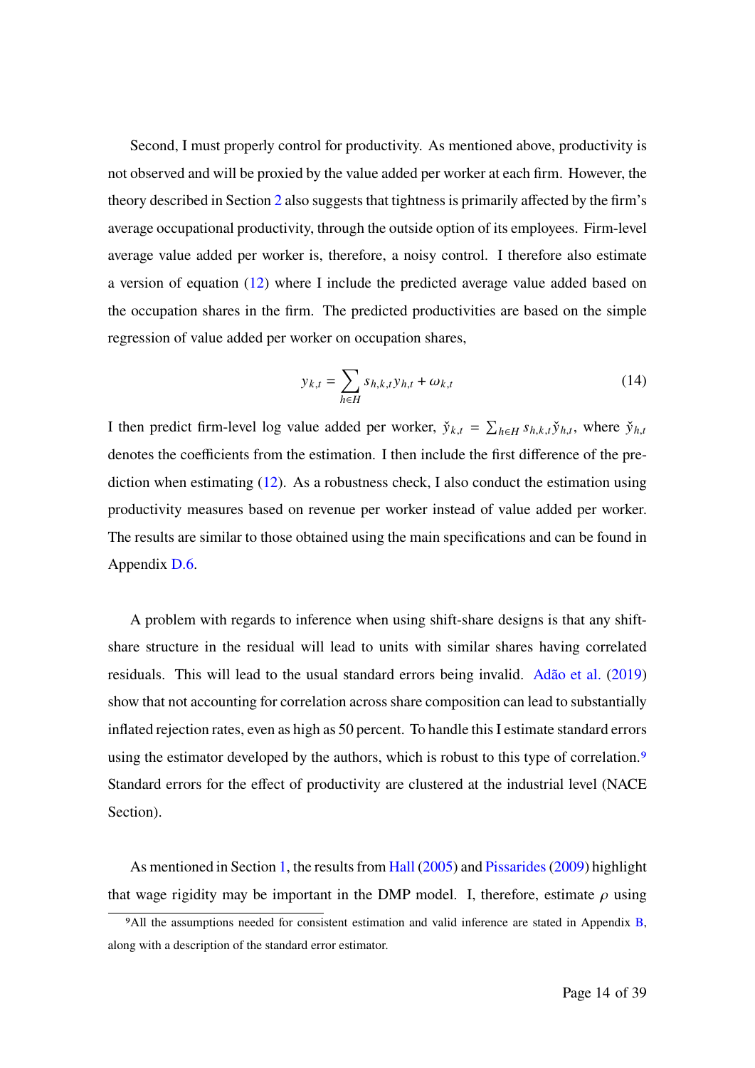Second, I must properly control for productivity. As mentioned above, productivity is not observed and will be proxied by the value added per worker at each firm. However, the theory described in Section 2 also suggests that tightness is primarily affected by the firm's average occupational productivity, through the outside option of its employees. Firm-level average value added per worker is, therefore, a noisy control. I therefore also estimate a version of equation (12) where I include the predicted average value added based on the occupation shares in the firm. The predicted productivities are based on the simple regression of value added per worker on occupation shares,

$$
y_{k,t} = \sum_{h \in H} s_{h,k,t} y_{h,t} + \omega_{k,t}
$$
 (14)

I then predict firm-level log value added per worker,  $\check{y}_{k,t} = \sum_{h \in H} s_{h,k,t} \check{y}_{h,t}$ , where  $\check{y}_{h,t}$ denotes the coefficients from the estimation. I then include the first difference of the prediction when estimating  $(12)$ . As a robustness check, I also conduct the estimation using productivity measures based on revenue per worker instead of value added per worker. The results are similar to those obtained using the main specifications and can be found in Appendix D.6.

A problem with regards to inference when using shift-share designs is that any shiftshare structure in the residual will lead to units with similar shares having correlated residuals. This will lead to the usual standard errors being invalid. Adão et al. (2019) show that not accounting for correlation across share composition can lead to substantially inflated rejection rates, even as high as 50 percent. To handle this I estimate standard errors using the estimator developed by the authors, which is robust to this type of correlation.<sup>9</sup> Standard errors for the effect of productivity are clustered at the industrial level (NACE Section).

As mentioned in Section 1, the results from Hall (2005) and Pissarides(2009) highlight that wage rigidity may be important in the DMP model. I, therefore, estimate  $\rho$  using

<sup>&</sup>lt;sup>9</sup>All the assumptions needed for consistent estimation and valid inference are stated in Appendix B, along with a description of the standard error estimator.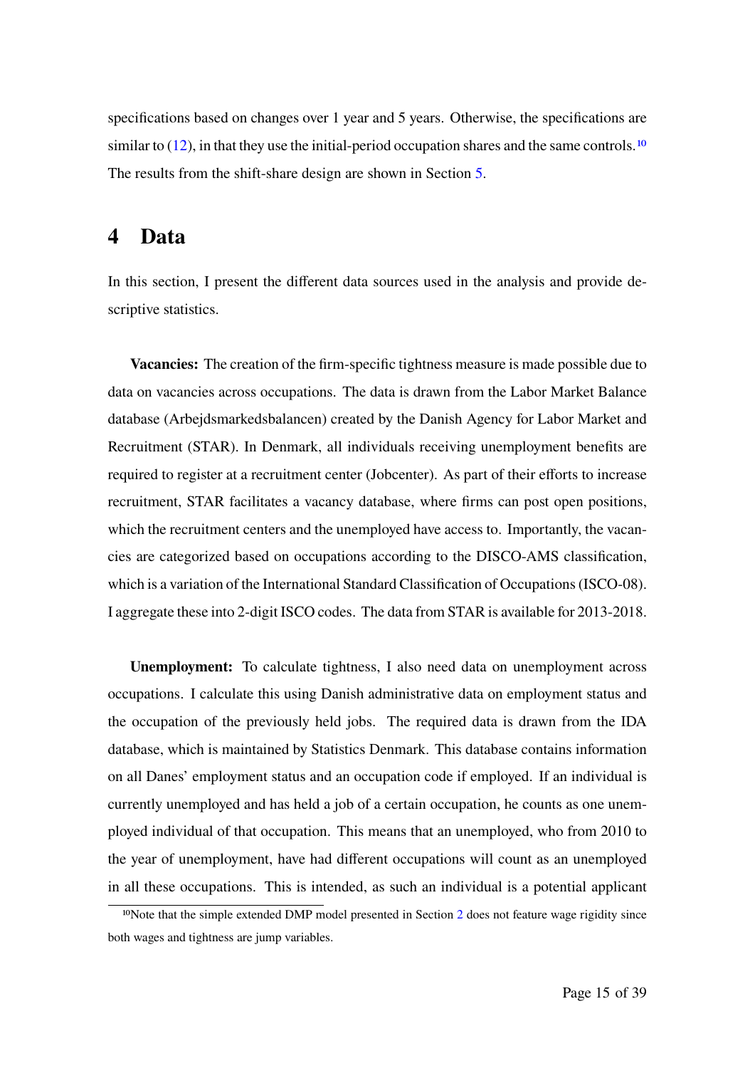specifications based on changes over 1 year and 5 years. Otherwise, the specifications are similar to  $(12)$ , in that they use the initial-period occupation shares and the same controls.<sup>10</sup> The results from the shift-share design are shown in Section 5.

### **4 Data**

In this section, I present the different data sources used in the analysis and provide descriptive statistics.

**Vacancies:** The creation of the firm-specific tightness measure is made possible due to data on vacancies across occupations. The data is drawn from the Labor Market Balance database (Arbejdsmarkedsbalancen) created by the Danish Agency for Labor Market and Recruitment (STAR). In Denmark, all individuals receiving unemployment benefits are required to register at a recruitment center (Jobcenter). As part of their efforts to increase recruitment, STAR facilitates a vacancy database, where firms can post open positions, which the recruitment centers and the unemployed have access to. Importantly, the vacancies are categorized based on occupations according to the DISCO-AMS classification, which is a variation of the International Standard Classification of Occupations (ISCO-08). I aggregate these into 2-digit ISCO codes. The data from STAR is available for 2013-2018.

**Unemployment:** To calculate tightness, I also need data on unemployment across occupations. I calculate this using Danish administrative data on employment status and the occupation of the previously held jobs. The required data is drawn from the IDA database, which is maintained by Statistics Denmark. This database contains information on all Danes' employment status and an occupation code if employed. If an individual is currently unemployed and has held a job of a certain occupation, he counts as one unemployed individual of that occupation. This means that an unemployed, who from 2010 to the year of unemployment, have had different occupations will count as an unemployed in all these occupations. This is intended, as such an individual is a potential applicant

<sup>&</sup>lt;sup>10</sup>Note that the simple extended DMP model presented in Section 2 does not feature wage rigidity since both wages and tightness are jump variables.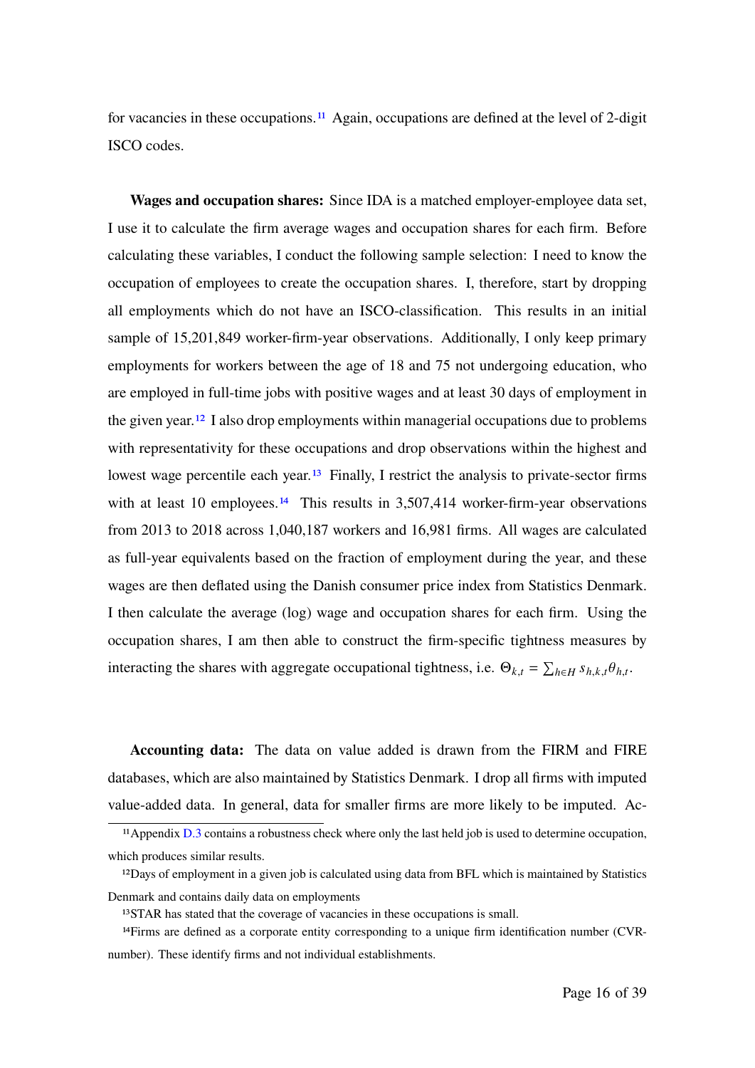for vacancies in these occupations.<sup>11</sup> Again, occupations are defined at the level of 2-digit ISCO codes.

**Wages and occupation shares:** Since IDA is a matched employer-employee data set, I use it to calculate the firm average wages and occupation shares for each firm. Before calculating these variables, I conduct the following sample selection: I need to know the occupation of employees to create the occupation shares. I, therefore, start by dropping all employments which do not have an ISCO-classification. This results in an initial sample of 15,201,849 worker-firm-year observations. Additionally, I only keep primary employments for workers between the age of 18 and 75 not undergoing education, who are employed in full-time jobs with positive wages and at least 30 days of employment in the given year.<sup>12</sup> I also drop employments within managerial occupations due to problems with representativity for these occupations and drop observations within the highest and lowest wage percentile each year.<sup>13</sup> Finally, I restrict the analysis to private-sector firms with at least 10 employees.<sup>14</sup> This results in  $3,507,414$  worker-firm-year observations from 2013 to 2018 across 1,040,187 workers and 16,981 firms. All wages are calculated as full-year equivalents based on the fraction of employment during the year, and these wages are then deflated using the Danish consumer price index from Statistics Denmark. I then calculate the average (log) wage and occupation shares for each firm. Using the occupation shares, I am then able to construct the firm-specific tightness measures by interacting the shares with aggregate occupational tightness, i.e.  $\Theta_{k,t} = \sum_{h \in H} s_{h,k,t} \theta_{h,t}$ .

**Accounting data:** The data on value added is drawn from the FIRM and FIRE databases, which are also maintained by Statistics Denmark. I drop all firms with imputed value-added data. In general, data for smaller firms are more likely to be imputed. Ac-

<sup>&</sup>lt;sup>11</sup> Appendix D.3 contains a robustness check where only the last held job is used to determine occupation, which produces similar results.

<sup>12</sup>Days of employment in a given job is calculated using data from BFL which is maintained by Statistics Denmark and contains daily data on employments

<sup>13</sup>STAR has stated that the coverage of vacancies in these occupations is small.

<sup>14</sup>Firms are defined as a corporate entity corresponding to a unique firm identification number (CVRnumber). These identify firms and not individual establishments.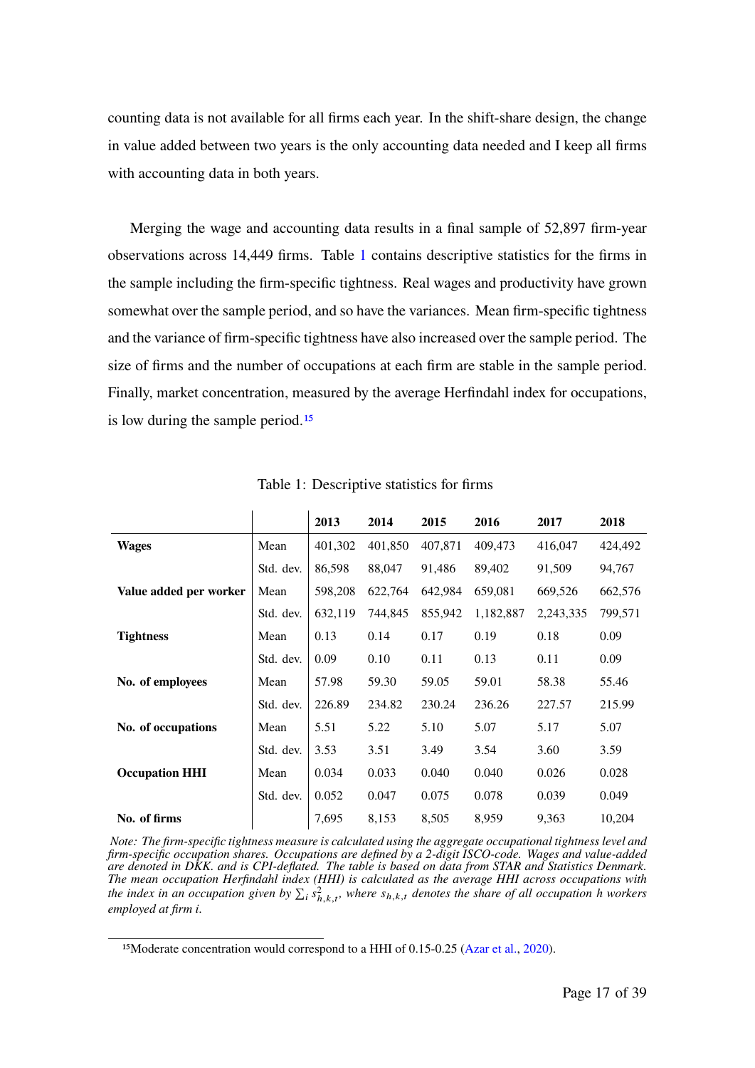counting data is not available for all firms each year. In the shift-share design, the change in value added between two years is the only accounting data needed and I keep all firms with accounting data in both years.

Merging the wage and accounting data results in a final sample of 52,897 firm-year observations across 14,449 firms. Table 1 contains descriptive statistics for the firms in the sample including the firm-specific tightness. Real wages and productivity have grown somewhat over the sample period, and so have the variances. Mean firm-specific tightness and the variance of firm-specific tightness have also increased over the sample period. The size of firms and the number of occupations at each firm are stable in the sample period. Finally, market concentration, measured by the average Herfindahl index for occupations, is low during the sample period.<sup>15</sup>

|                        |           | 2013    | 2014    | 2015    | 2016      | 2017      | 2018    |
|------------------------|-----------|---------|---------|---------|-----------|-----------|---------|
| <b>Wages</b>           | Mean      | 401,302 | 401,850 | 407,871 | 409,473   | 416,047   | 424,492 |
|                        | Std. dev. | 86,598  | 88,047  | 91,486  | 89,402    | 91,509    | 94,767  |
| Value added per worker | Mean      | 598,208 | 622,764 | 642,984 | 659,081   | 669,526   | 662,576 |
|                        | Std. dev. | 632,119 | 744,845 | 855,942 | 1,182,887 | 2,243,335 | 799,571 |
| <b>Tightness</b>       | Mean      | 0.13    | 0.14    | 0.17    | 0.19      | 0.18      | 0.09    |
|                        | Std. dev. | 0.09    | 0.10    | 0.11    | 0.13      | 0.11      | 0.09    |
| No. of employees       | Mean      | 57.98   | 59.30   | 59.05   | 59.01     | 58.38     | 55.46   |
|                        | Std. dev. | 226.89  | 234.82  | 230.24  | 236.26    | 227.57    | 215.99  |
| No. of occupations     | Mean      | 5.51    | 5.22    | 5.10    | 5.07      | 5.17      | 5.07    |
|                        | Std. dev. | 3.53    | 3.51    | 3.49    | 3.54      | 3.60      | 3.59    |
| <b>Occupation HHI</b>  | Mean      | 0.034   | 0.033   | 0.040   | 0.040     | 0.026     | 0.028   |
|                        | Std. dev. | 0.052   | 0.047   | 0.075   | 0.078     | 0.039     | 0.049   |
| No. of firms           |           | 7,695   | 8,153   | 8,505   | 8,959     | 9,363     | 10,204  |

Table 1: Descriptive statistics for firms

*Note: The firm-specific tightness measure is calculated using the aggregate occupational tightness level and firm-specific occupation shares. Occupations are defined by a 2-digit ISCO-code. Wages and value-added are denoted in DKK. and is CPI-deflated. The table is based on data from STAR and Statistics Denmark. The mean occupation Herfindahl index (HHI) is calculated as the average HHI across occupations with* the index in an occupation given by  $\sum_i s_{h,k,t}^2$ , where  $s_{h,k,t}$  denotes the share of all occupation h workers *employed at firm i.* 

<sup>&</sup>lt;sup>15</sup>Moderate concentration would correspond to a HHI of 0.15-0.25 (Azar et al., 2020).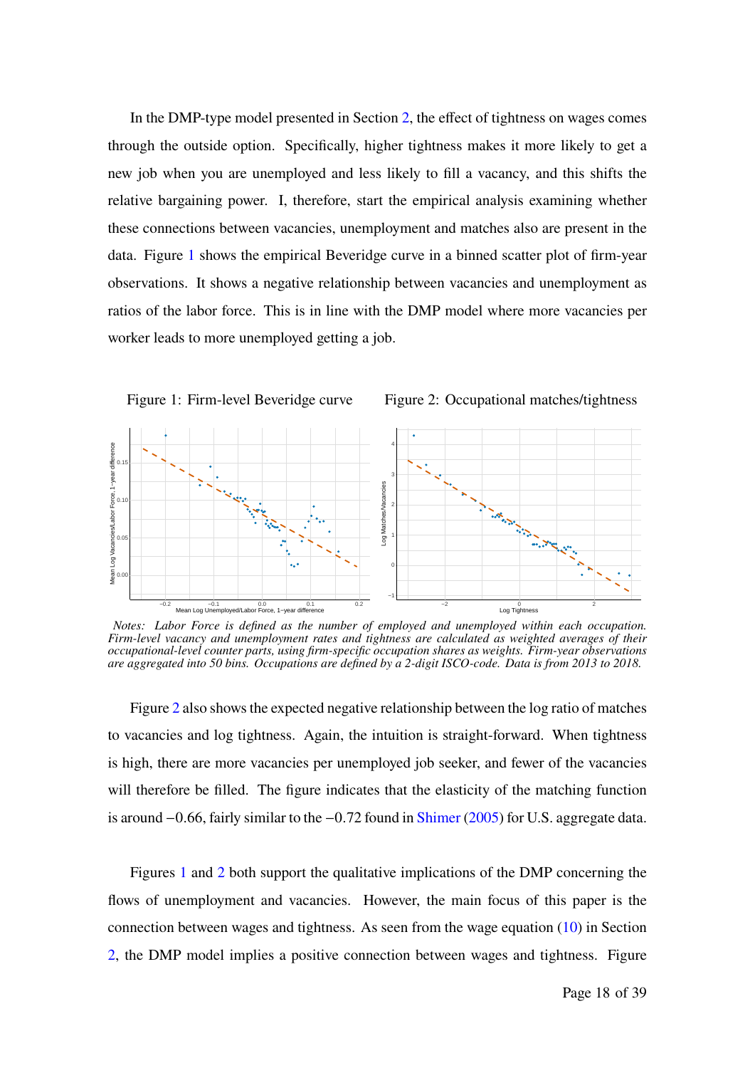In the DMP-type model presented in Section 2, the effect of tightness on wages comes through the outside option. Specifically, higher tightness makes it more likely to get a new job when you are unemployed and less likely to fill a vacancy, and this shifts the relative bargaining power. I, therefore, start the empirical analysis examining whether these connections between vacancies, unemployment and matches also are present in the data. Figure 1 shows the empirical Beveridge curve in a binned scatter plot of firm-year observations. It shows a negative relationship between vacancies and unemployment as ratios of the labor force. This is in line with the DMP model where more vacancies per worker leads to more unemployed getting a job.



*Notes: Labor Force is defined as the number of employed and unemployed within each occupation. Firm-level vacancy and unemployment rates and tightness are calculated as weighted averages of their occupational-level counter parts, using firm-specific occupation shares as weights. Firm-year observations are aggregated into 50 bins. Occupations are defined by a 2-digit ISCO-code. Data is from 2013 to 2018.*

Figure 2 also shows the expected negative relationship between the log ratio of matches to vacancies and log tightness. Again, the intuition is straight-forward. When tightness is high, there are more vacancies per unemployed job seeker, and fewer of the vacancies will therefore be filled. The figure indicates that the elasticity of the matching function is around −0.66, fairly similar to the −0.72 found in Shimer (2005) for U.S. aggregate data.

Figures 1 and 2 both support the qualitative implications of the DMP concerning the flows of unemployment and vacancies. However, the main focus of this paper is the connection between wages and tightness. As seen from the wage equation (10) in Section 2, the DMP model implies a positive connection between wages and tightness. Figure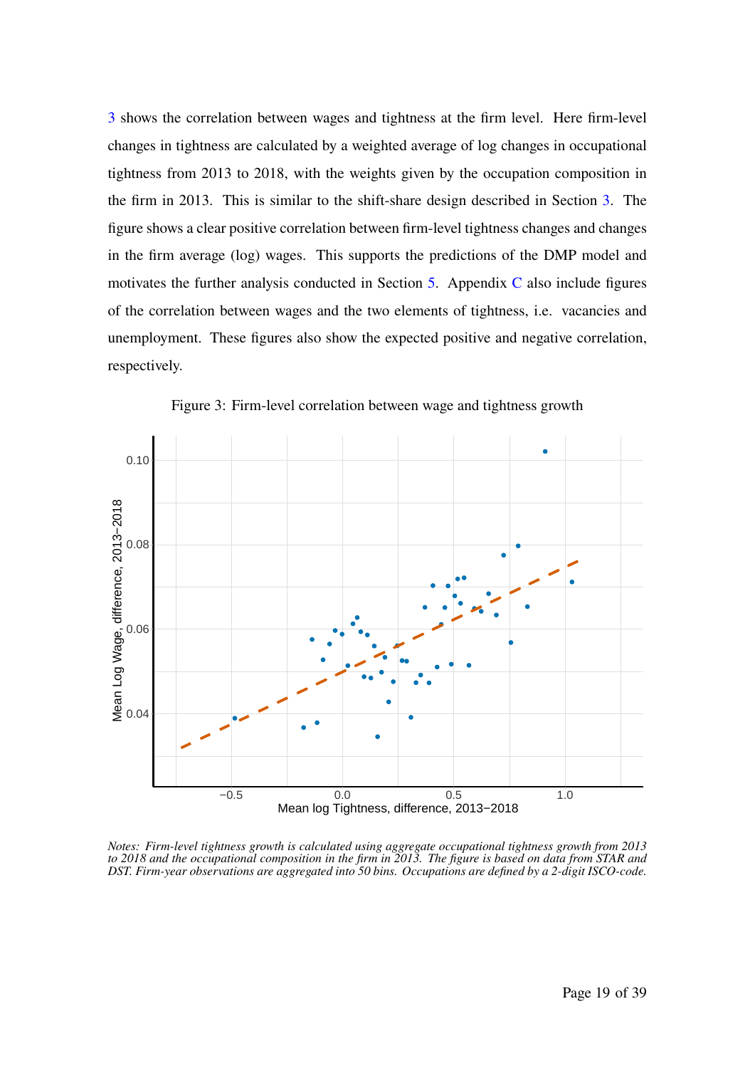3 shows the correlation between wages and tightness at the firm level. Here firm-level changes in tightness are calculated by a weighted average of log changes in occupational tightness from 2013 to 2018, with the weights given by the occupation composition in the firm in 2013. This is similar to the shift-share design described in Section 3. The figure shows a clear positive correlation between firm-level tightness changes and changes in the firm average (log) wages. This supports the predictions of the DMP model and motivates the further analysis conducted in Section  $5$ . Appendix  $C$  also include figures of the correlation between wages and the two elements of tightness, i.e. vacancies and unemployment. These figures also show the expected positive and negative correlation, respectively.



Figure 3: Firm-level correlation between wage and tightness growth

*Notes: Firm-level tightness growth is calculated using aggregate occupational tightness growth from 2013 to 2018 and the occupational composition in the firm in 2013. The figure is based on data from STAR and DST. Firm-year observations are aggregated into 50 bins. Occupations are defined by a 2-digit ISCO-code.*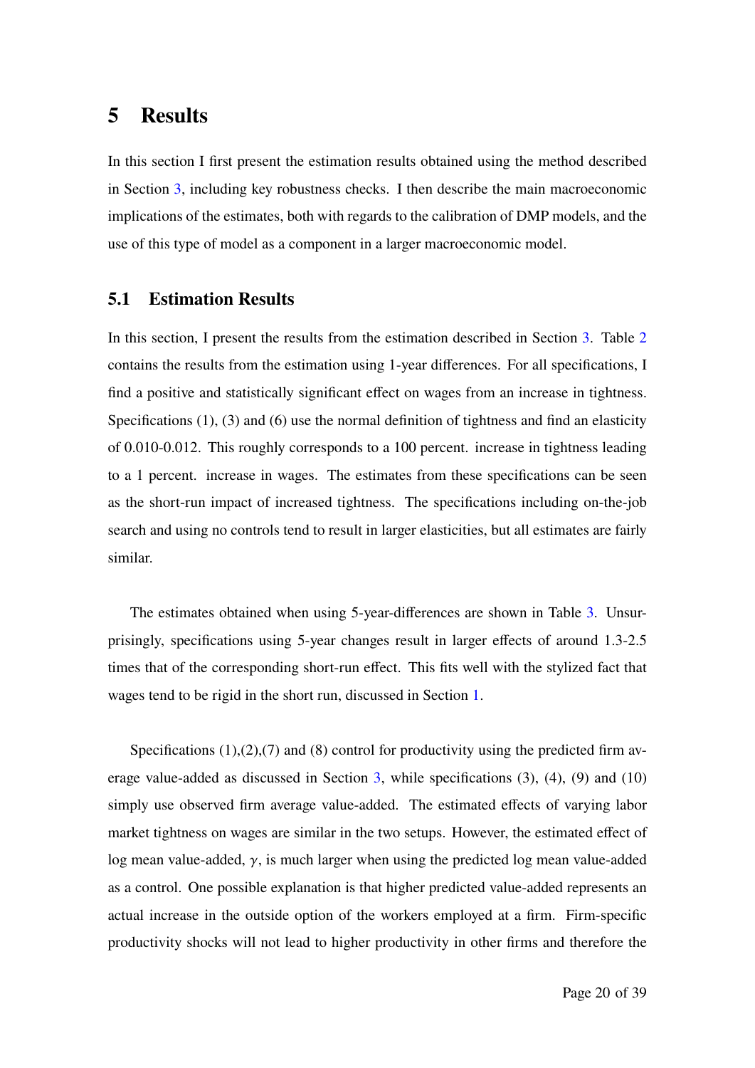# **5 Results**

In this section I first present the estimation results obtained using the method described in Section 3, including key robustness checks. I then describe the main macroeconomic implications of the estimates, both with regards to the calibration of DMP models, and the use of this type of model as a component in a larger macroeconomic model.

### **5.1 Estimation Results**

In this section, I present the results from the estimation described in Section 3. Table 2 contains the results from the estimation using 1-year differences. For all specifications, I find a positive and statistically significant effect on wages from an increase in tightness. Specifications (1), (3) and (6) use the normal definition of tightness and find an elasticity of 0.010-0.012. This roughly corresponds to a 100 percent. increase in tightness leading to a 1 percent. increase in wages. The estimates from these specifications can be seen as the short-run impact of increased tightness. The specifications including on-the-job search and using no controls tend to result in larger elasticities, but all estimates are fairly similar.

The estimates obtained when using 5-year-differences are shown in Table 3. Unsurprisingly, specifications using 5-year changes result in larger effects of around 1.3-2.5 times that of the corresponding short-run effect. This fits well with the stylized fact that wages tend to be rigid in the short run, discussed in Section 1.

Specifications  $(1)$ , $(2)$ , $(7)$  and  $(8)$  control for productivity using the predicted firm average value-added as discussed in Section  $3$ , while specifications  $(3)$ ,  $(4)$ ,  $(9)$  and  $(10)$ simply use observed firm average value-added. The estimated effects of varying labor market tightness on wages are similar in the two setups. However, the estimated effect of log mean value-added,  $\gamma$ , is much larger when using the predicted log mean value-added as a control. One possible explanation is that higher predicted value-added represents an actual increase in the outside option of the workers employed at a firm. Firm-specific productivity shocks will not lead to higher productivity in other firms and therefore the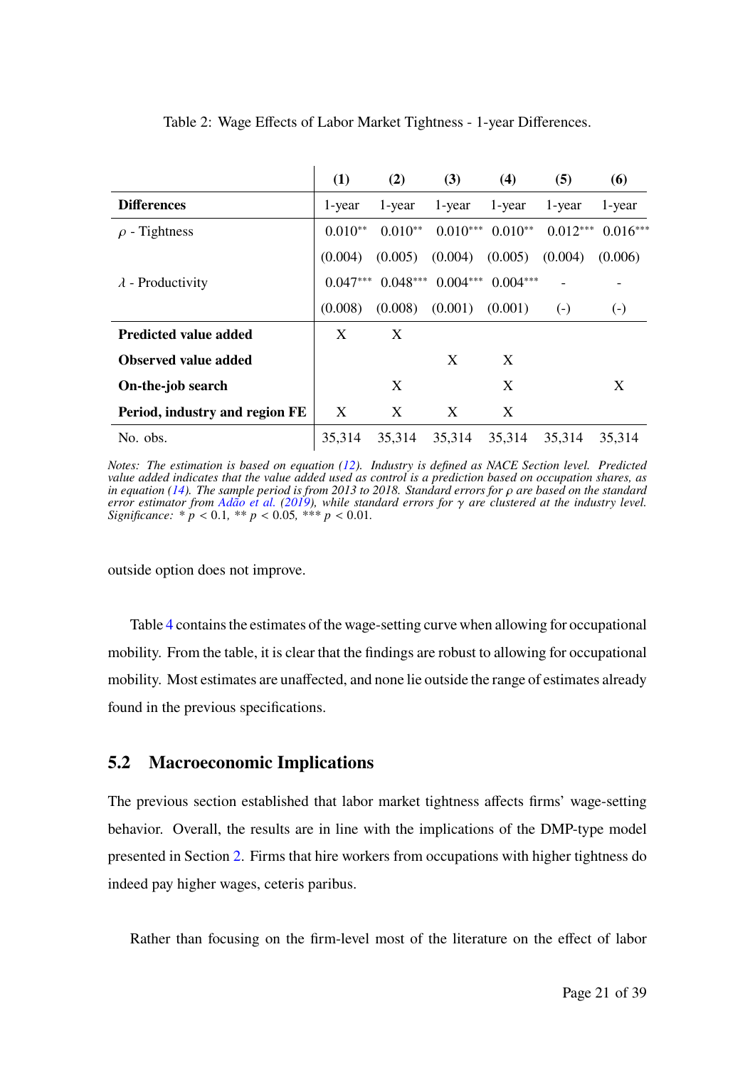|                                | (1)        | (2)        | (3)        | (4)                | (5)        | (6)               |
|--------------------------------|------------|------------|------------|--------------------|------------|-------------------|
| <b>Differences</b>             | 1-year     | 1-year     | 1-year     | 1-year             | 1-year     | 1-year            |
| $\rho$ - Tightness             | $0.010**$  | $0.010**$  |            | $0.010***$ 0.010** | $0.012***$ | $0.016***$        |
|                                | (0.004)    | (0.005)    | (0.004)    | (0.005)            | (0.004)    | (0.006)           |
| $\lambda$ - Productivity       | $0.047***$ | $0.048***$ | $0.004***$ | $0.004***$         |            |                   |
|                                | (0.008)    | (0.008)    | (0.001)    | (0.001)            | $(-)$      | $\left( -\right)$ |
| <b>Predicted value added</b>   | X          | X          |            |                    |            |                   |
| <b>Observed value added</b>    |            |            | X          | X                  |            |                   |
| On-the-job search              |            | X          |            | X                  |            | X                 |
| Period, industry and region FE | X          | X          | X          | X                  |            |                   |
| No. obs.                       | 35,314     | 35,314     | 35,314     | 35,314             | 35,314     | 35.314            |

Table 2: Wage Effects of Labor Market Tightness - 1-year Differences.

*Notes: The estimation is based on equation (12). Industry is defined as NACE Section level. Predicted value added indicates that the value added used as control is a prediction based on occupation shares, as in equation (14). The sample period is from 2013 to 2018. Standard errors for*  $\rho$  *are based on the standard error estimator from Adão et al. (2019), while standard errors for* 𝛾 *are clustered at the industry level. Significance:*  $* p < 0.1, ** p < 0.05, ** p < 0.01.$ 

outside option does not improve.

Table 4 contains the estimates of the wage-setting curve when allowing for occupational mobility. From the table, it is clear that the findings are robust to allowing for occupational mobility. Most estimates are unaffected, and none lie outside the range of estimates already found in the previous specifications.

### **5.2 Macroeconomic Implications**

The previous section established that labor market tightness affects firms' wage-setting behavior. Overall, the results are in line with the implications of the DMP-type model presented in Section 2. Firms that hire workers from occupations with higher tightness do indeed pay higher wages, ceteris paribus.

Rather than focusing on the firm-level most of the literature on the effect of labor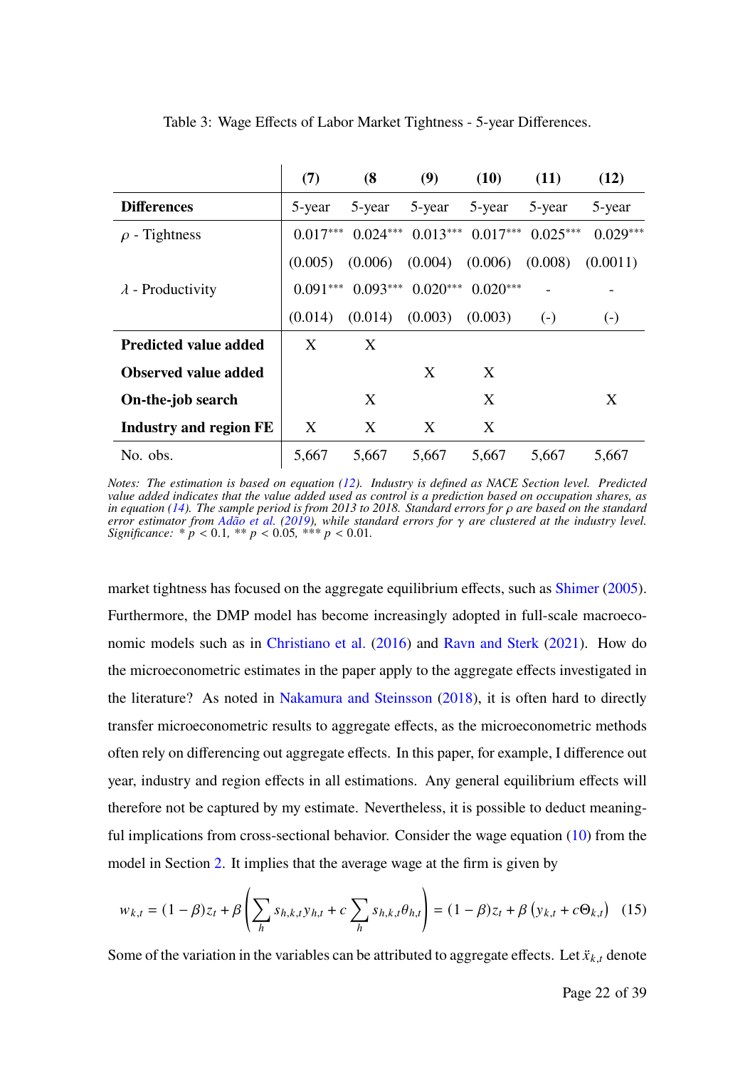|                               | (7)        | (8)        | (9)        | (10)                  | (11)       | (12)              |
|-------------------------------|------------|------------|------------|-----------------------|------------|-------------------|
| <b>Differences</b>            | 5-year     | 5-year     | 5-year     | 5-year                | 5-year     | 5-year            |
| $\rho$ - Tightness            | $0.017***$ | $0.024***$ |            | $0.013***$ $0.017***$ | $0.025***$ | $0.029***$        |
|                               | (0.005)    | (0.006)    | (0.004)    | (0.006)               | (0.008)    | (0.0011)          |
| $\lambda$ - Productivity      | $0.091***$ | $0.093***$ | $0.020***$ | $0.020***$            |            |                   |
|                               | (0.014)    | (0.014)    | (0.003)    | (0.003)               | $(-)$      | $\left( -\right)$ |
| <b>Predicted value added</b>  | X          | X          |            |                       |            |                   |
| <b>Observed value added</b>   |            |            | X          | X                     |            |                   |
| On-the-job search             |            | X          |            | X                     |            | X                 |
| <b>Industry and region FE</b> | X          | X          | X          | X                     |            |                   |
| No. obs.                      | 5,667      | 5,667      | 5,667      | 5,667                 | 5,667      | 5,667             |

Table 3: Wage Effects of Labor Market Tightness - 5-year Differences.

*Notes: The estimation is based on equation (12). Industry is defined as NACE Section level. Predicted value added indicates that the value added used as control is a prediction based on occupation shares, as in equation (14). The sample period is from 2013 to 2018. Standard errors for*  $\rho$  *are based on the standard error estimator from Adão et al. (2019), while standard errors for* 𝛾 *are clustered at the industry level. Significance:*  $* p < 0.1, ** p < 0.05, ** p < 0.01$ .

market tightness has focused on the aggregate equilibrium effects, such as Shimer (2005). Furthermore, the DMP model has become increasingly adopted in full-scale macroeconomic models such as in Christiano et al. (2016) and Ravn and Sterk (2021). How do the microeconometric estimates in the paper apply to the aggregate effects investigated in the literature? As noted in Nakamura and Steinsson (2018), it is often hard to directly transfer microeconometric results to aggregate effects, as the microeconometric methods often rely on differencing out aggregate effects. In this paper, for example, I difference out year, industry and region effects in all estimations. Any general equilibrium effects will therefore not be captured by my estimate. Nevertheless, it is possible to deduct meaningful implications from cross-sectional behavior. Consider the wage equation (10) from the model in Section 2. It implies that the average wage at the firm is given by

$$
w_{k,t} = (1 - \beta)z_t + \beta \left( \sum_h s_{h,k,t} y_{h,t} + c \sum_h s_{h,k,t} \theta_{h,t} \right) = (1 - \beta)z_t + \beta \left( y_{k,t} + c \Theta_{k,t} \right) \tag{15}
$$

Some of the variation in the variables can be attributed to aggregate effects. Let  $\ddot{x}_{k,t}$  denote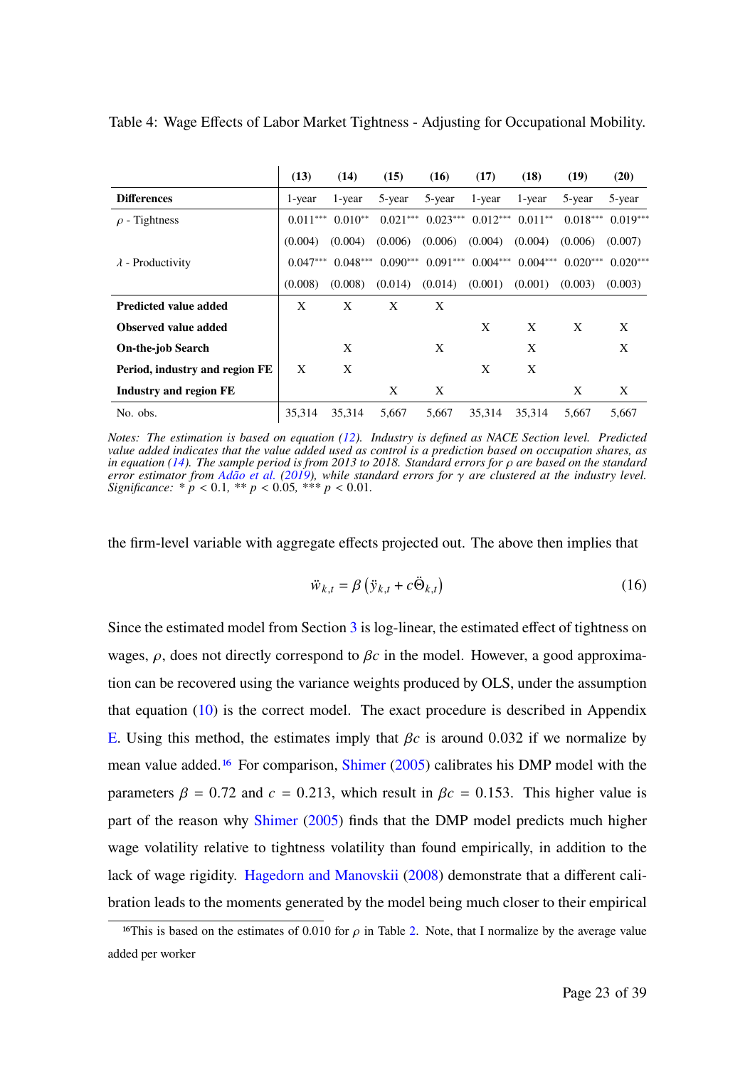|                                | (13)       | (14)       | (15)       | (16)       | (17)       | (18)       | (19)       | (20)                |
|--------------------------------|------------|------------|------------|------------|------------|------------|------------|---------------------|
| <b>Differences</b>             | 1-year     | 1-year     | 5-year     | 5-year     | 1-year     | 1-year     | 5-year     | 5-year              |
| $\rho$ - Tightness             | $0.011***$ | $0.010**$  | $0.021***$ | $0.023***$ | $0.012***$ | $0.011**$  |            | $0.018***$ 0.019*** |
|                                | (0.004)    | (0.004)    | (0.006)    | (0.006)    | (0.004)    | (0.004)    | (0.006)    | (0.007)             |
| $\lambda$ - Productivity       | $0.047***$ | $0.048***$ | $0.090***$ | $0.091***$ | $0.004***$ | $0.004***$ | $0.020***$ | $0.020***$          |
|                                | (0.008)    | (0.008)    | (0.014)    | (0.014)    | (0.001)    | (0.001)    | (0.003)    | (0.003)             |
| <b>Predicted value added</b>   | X          | X          | X          | X          |            |            |            |                     |
| <b>Observed value added</b>    |            |            |            |            | X          | X          | X          | X                   |
| <b>On-the-job Search</b>       |            | X          |            | X          |            | X          |            | X                   |
| Period, industry and region FE | X          | X          |            |            | X          | X          |            |                     |
| Industry and region FE         |            |            | X          | X          |            |            | X          | X                   |
| No. obs.                       | 35.314     | 35.314     | 5.667      | 5,667      | 35.314     | 35.314     | 5.667      | 5.667               |

Table 4: Wage Effects of Labor Market Tightness - Adjusting for Occupational Mobility.

*Notes: The estimation is based on equation (12). Industry is defined as NACE Section level. Predicted value added indicates that the value added used as control is a prediction based on occupation shares, as in equation (14). The sample period is from 2013 to 2018. Standard errors for*  $\rho$  *are based on the standard error estimator from Adão et al. (2019), while standard errors for* 𝛾 *are clustered at the industry level. Significance:*  $* p < 0.1, ** p < 0.05, ** p < 0.01$ .

the firm-level variable with aggregate effects projected out. The above then implies that

$$
\ddot{w}_{k,t} = \beta \left( \ddot{y}_{k,t} + c \ddot{\Theta}_{k,t} \right) \tag{16}
$$

Since the estimated model from Section 3 is log-linear, the estimated effect of tightness on wages,  $\rho$ , does not directly correspond to  $\beta c$  in the model. However, a good approximation can be recovered using the variance weights produced by OLS, under the assumption that equation  $(10)$  is the correct model. The exact procedure is described in Appendix E. Using this method, the estimates imply that  $\beta c$  is around 0.032 if we normalize by mean value added.16 For comparison, Shimer (2005) calibrates his DMP model with the parameters  $\beta = 0.72$  and  $c = 0.213$ , which result in  $\beta c = 0.153$ . This higher value is part of the reason why Shimer (2005) finds that the DMP model predicts much higher wage volatility relative to tightness volatility than found empirically, in addition to the lack of wage rigidity. Hagedorn and Manovskii (2008) demonstrate that a different calibration leads to the moments generated by the model being much closer to their empirical

<sup>&</sup>lt;sup>16</sup>This is based on the estimates of 0.010 for  $\rho$  in Table 2. Note, that I normalize by the average value added per worker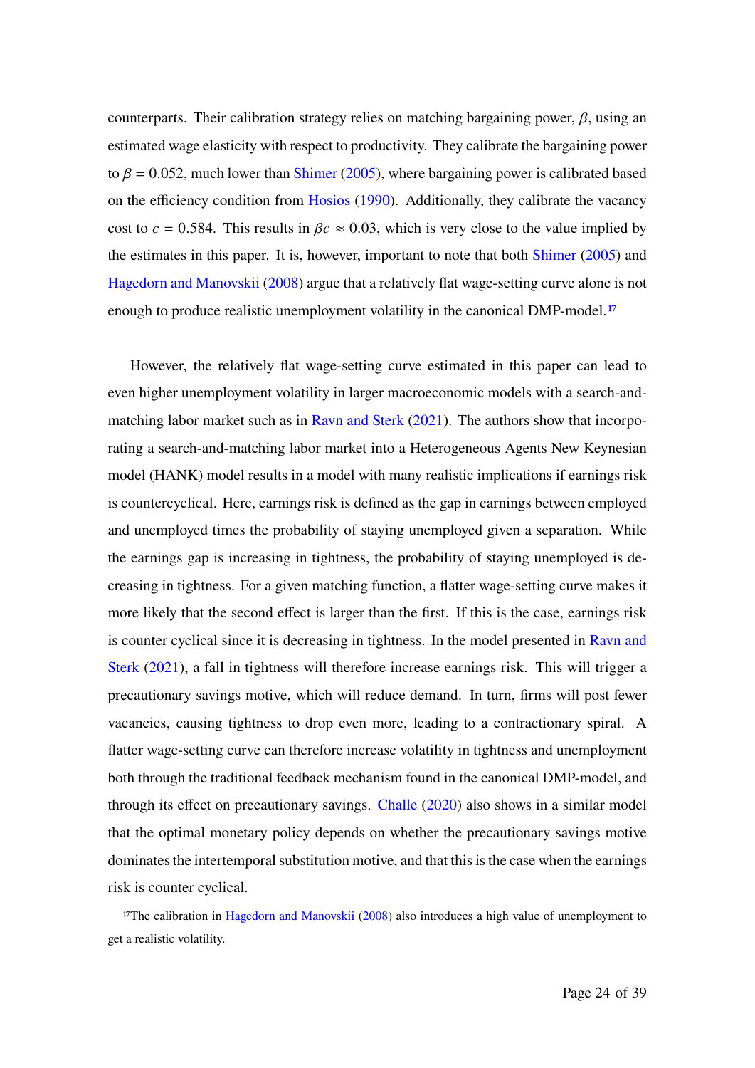counterparts. Their calibration strategy relies on matching bargaining power,  $\beta$ , using an estimated wage elasticity with respect to productivity. They calibrate the bargaining power to  $\beta$  = 0.052, much lower than Shimer (2005), where bargaining power is calibrated based on the efficiency condition from Hosios (1990). Additionally, they calibrate the vacancy cost to  $c = 0.584$ . This results in  $\beta c \approx 0.03$ , which is very close to the value implied by the estimates in this paper. It is, however, important to note that both Shimer (2005) and Hagedorn and Manovskii (2008) argue that a relatively flat wage-setting curve alone is not enough to produce realistic unemployment volatility in the canonical DMP-model.<sup>17</sup>

However, the relatively flat wage-setting curve estimated in this paper can lead to even higher unemployment volatility in larger macroeconomic models with a search-andmatching labor market such as in Ravn and Sterk (2021). The authors show that incorporating a search-and-matching labor market into a Heterogeneous Agents New Keynesian model (HANK) model results in a model with many realistic implications if earnings risk is countercyclical. Here, earnings risk is defined as the gap in earnings between employed and unemployed times the probability of staying unemployed given a separation. While the earnings gap is increasing in tightness, the probability of staying unemployed is decreasing in tightness. For a given matching function, a flatter wage-setting curve makes it more likely that the second effect is larger than the first. If this is the case, earnings risk is counter cyclical since it is decreasing in tightness. In the model presented in Ravn and Sterk (2021), a fall in tightness will therefore increase earnings risk. This will trigger a precautionary savings motive, which will reduce demand. In turn, firms will post fewer vacancies, causing tightness to drop even more, leading to a contractionary spiral. A flatter wage-setting curve can therefore increase volatility in tightness and unemployment both through the traditional feedback mechanism found in the canonical DMP-model, and through its effect on precautionary savings. Challe (2020) also shows in a similar model that the optimal monetary policy depends on whether the precautionary savings motive dominates the intertemporal substitution motive, and that this is the case when the earnings risk is counter cyclical.

<sup>&</sup>lt;sup>17</sup>The calibration in Hagedorn and Manovskii (2008) also introduces a high value of unemployment to get a realistic volatility.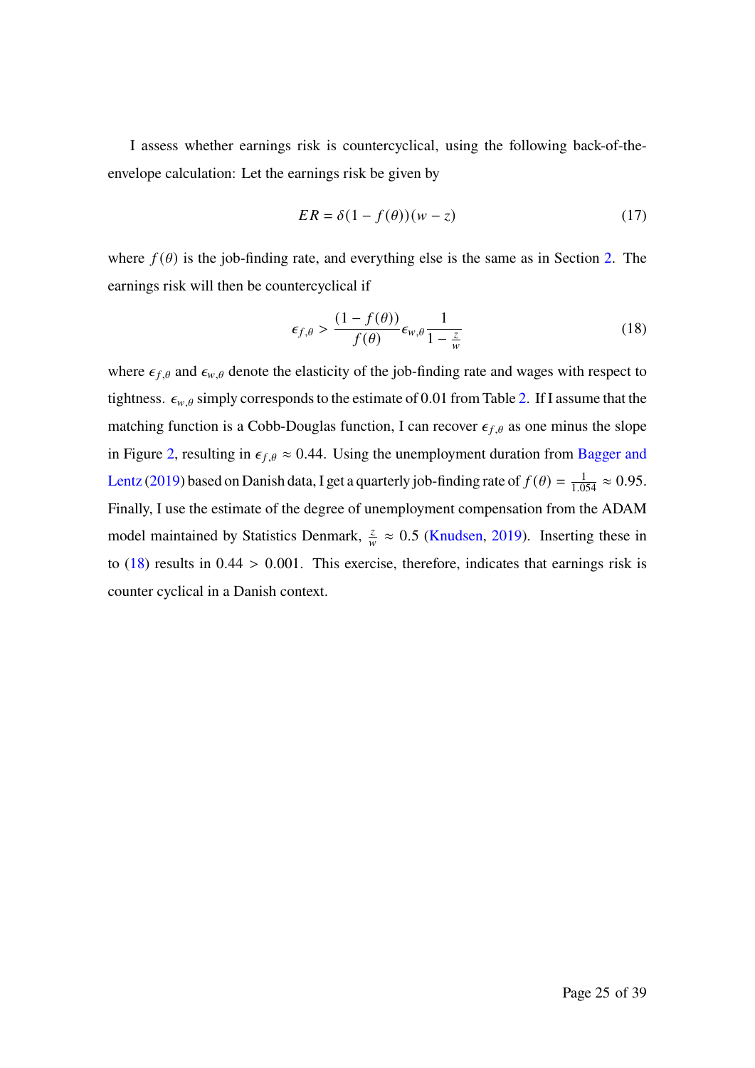I assess whether earnings risk is countercyclical, using the following back-of-theenvelope calculation: Let the earnings risk be given by

$$
ER = \delta(1 - f(\theta))(w - z)
$$
 (17)

where  $f(\theta)$  is the job-finding rate, and everything else is the same as in Section 2. The earnings risk will then be countercyclical if

$$
\epsilon_{f,\theta} > \frac{(1 - f(\theta))}{f(\theta)} \epsilon_{w,\theta} \frac{1}{1 - \frac{z}{w}}
$$
 (18)

where  $\epsilon_{f,\theta}$  and  $\epsilon_{w,\theta}$  denote the elasticity of the job-finding rate and wages with respect to tightness.  $\epsilon_{w,\theta}$  simply corresponds to the estimate of 0.01 from Table 2. If I assume that the matching function is a Cobb-Douglas function, I can recover  $\epsilon_{f,\theta}$  as one minus the slope in Figure 2, resulting in  $\epsilon_{f,\theta} \approx 0.44$ . Using the unemployment duration from Bagger and Lentz (2019) based on Danish data, I get a quarterly job-finding rate of  $f(\theta) = \frac{1}{1.054} \approx 0.95$ . Finally, I use the estimate of the degree of unemployment compensation from the ADAM model maintained by Statistics Denmark,  $\frac{z}{w} \approx 0.5$  (Knudsen, 2019). Inserting these in to  $(18)$  results in  $0.44 > 0.001$ . This exercise, therefore, indicates that earnings risk is counter cyclical in a Danish context.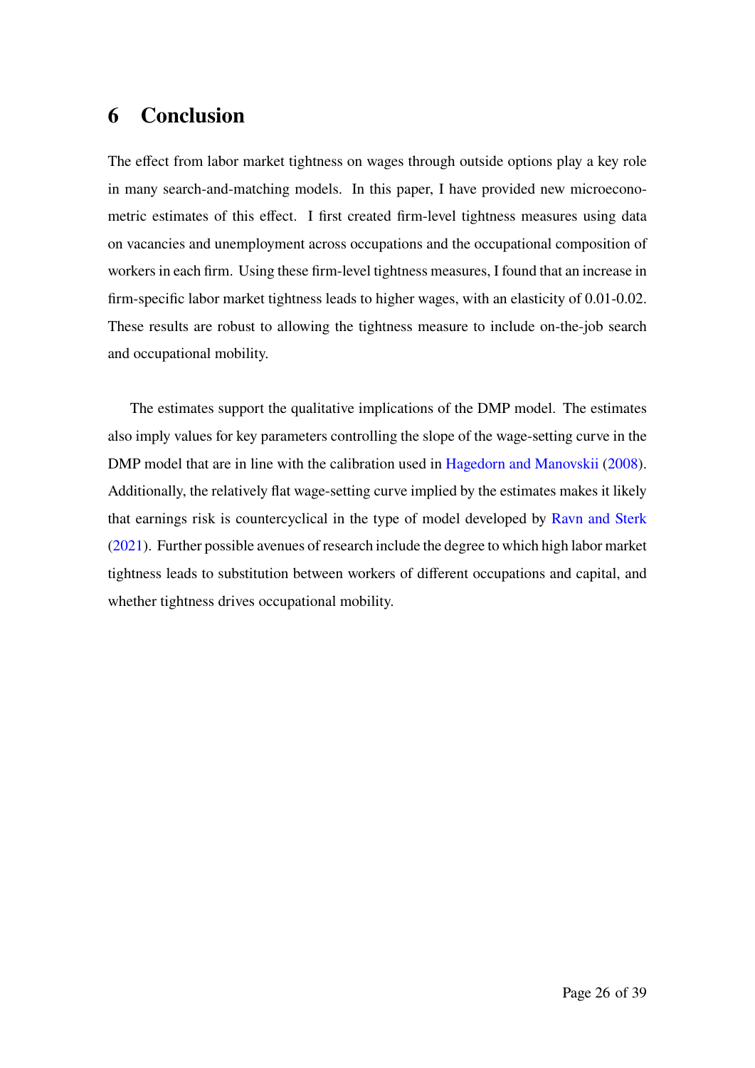# **6 Conclusion**

The effect from labor market tightness on wages through outside options play a key role in many search-and-matching models. In this paper, I have provided new microeconometric estimates of this effect. I first created firm-level tightness measures using data on vacancies and unemployment across occupations and the occupational composition of workers in each firm. Using these firm-level tightness measures, I found that an increase in firm-specific labor market tightness leads to higher wages, with an elasticity of 0.01-0.02. These results are robust to allowing the tightness measure to include on-the-job search and occupational mobility.

The estimates support the qualitative implications of the DMP model. The estimates also imply values for key parameters controlling the slope of the wage-setting curve in the DMP model that are in line with the calibration used in Hagedorn and Manovskii (2008). Additionally, the relatively flat wage-setting curve implied by the estimates makes it likely that earnings risk is countercyclical in the type of model developed by Ravn and Sterk (2021). Further possible avenues of research include the degree to which high labor market tightness leads to substitution between workers of different occupations and capital, and whether tightness drives occupational mobility.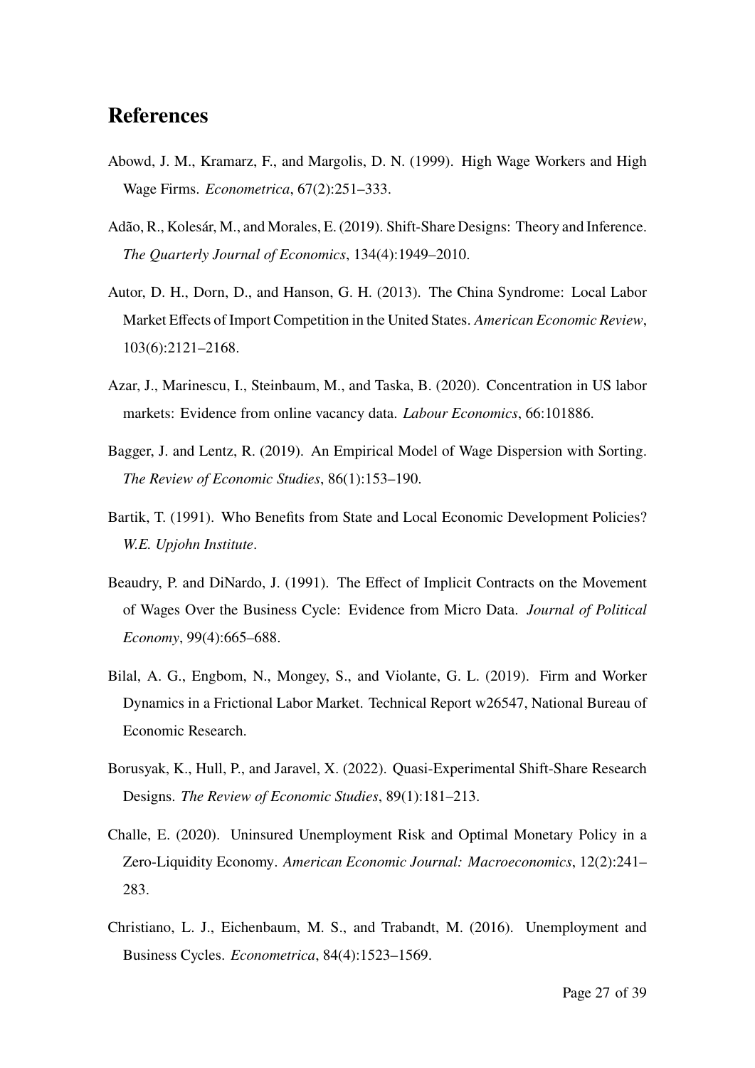# **References**

- Abowd, J. M., Kramarz, F., and Margolis, D. N. (1999). High Wage Workers and High Wage Firms. *Econometrica*, 67(2):251–333.
- Adão, R., Kolesár, M., and Morales, E. (2019). Shift-Share Designs: Theory and Inference. *The Quarterly Journal of Economics*, 134(4):1949–2010.
- Autor, D. H., Dorn, D., and Hanson, G. H. (2013). The China Syndrome: Local Labor Market Effects of Import Competition in the United States. *American Economic Review*, 103(6):2121–2168.
- Azar, J., Marinescu, I., Steinbaum, M., and Taska, B. (2020). Concentration in US labor markets: Evidence from online vacancy data. *Labour Economics*, 66:101886.
- Bagger, J. and Lentz, R. (2019). An Empirical Model of Wage Dispersion with Sorting. *The Review of Economic Studies*, 86(1):153–190.
- Bartik, T. (1991). Who Benefits from State and Local Economic Development Policies? *W.E. Upjohn Institute*.
- Beaudry, P. and DiNardo, J. (1991). The Effect of Implicit Contracts on the Movement of Wages Over the Business Cycle: Evidence from Micro Data. *Journal of Political Economy*, 99(4):665–688.
- Bilal, A. G., Engbom, N., Mongey, S., and Violante, G. L. (2019). Firm and Worker Dynamics in a Frictional Labor Market. Technical Report w26547, National Bureau of Economic Research.
- Borusyak, K., Hull, P., and Jaravel, X. (2022). Quasi-Experimental Shift-Share Research Designs. *The Review of Economic Studies*, 89(1):181–213.
- Challe, E. (2020). Uninsured Unemployment Risk and Optimal Monetary Policy in a Zero-Liquidity Economy. *American Economic Journal: Macroeconomics*, 12(2):241– 283.
- Christiano, L. J., Eichenbaum, M. S., and Trabandt, M. (2016). Unemployment and Business Cycles. *Econometrica*, 84(4):1523–1569.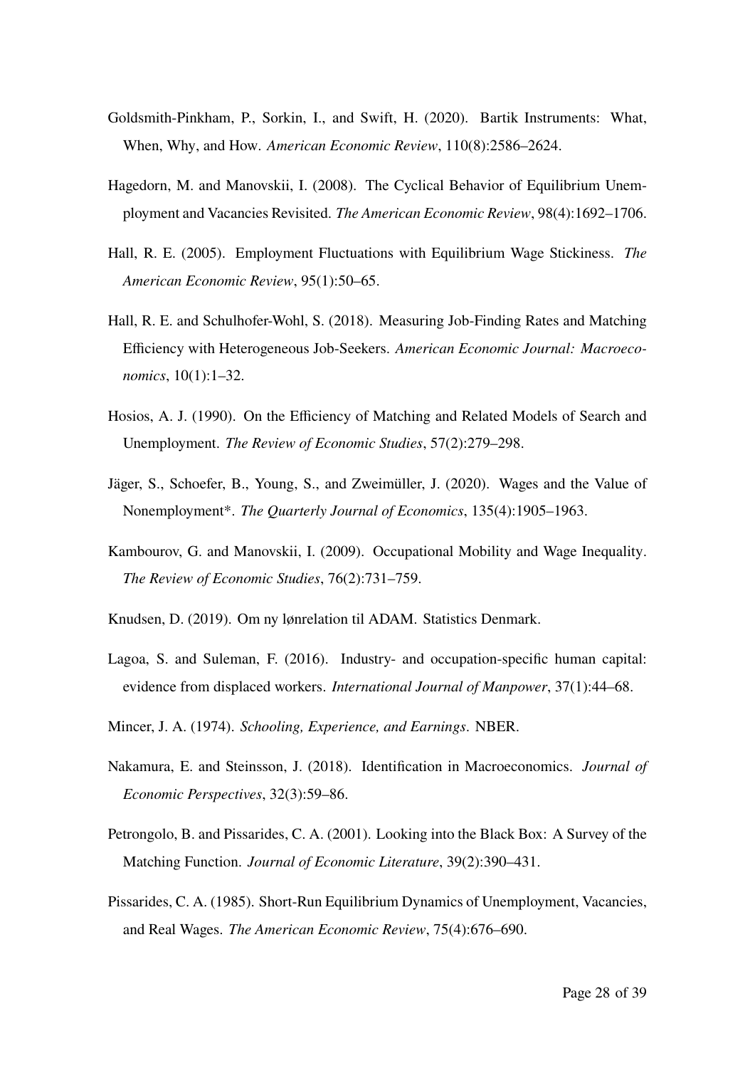- Goldsmith-Pinkham, P., Sorkin, I., and Swift, H. (2020). Bartik Instruments: What, When, Why, and How. *American Economic Review*, 110(8):2586–2624.
- Hagedorn, M. and Manovskii, I. (2008). The Cyclical Behavior of Equilibrium Unemployment and Vacancies Revisited. *The American Economic Review*, 98(4):1692–1706.
- Hall, R. E. (2005). Employment Fluctuations with Equilibrium Wage Stickiness. *The American Economic Review*, 95(1):50–65.
- Hall, R. E. and Schulhofer-Wohl, S. (2018). Measuring Job-Finding Rates and Matching Efficiency with Heterogeneous Job-Seekers. *American Economic Journal: Macroeconomics*, 10(1):1–32.
- Hosios, A. J. (1990). On the Efficiency of Matching and Related Models of Search and Unemployment. *The Review of Economic Studies*, 57(2):279–298.
- Jäger, S., Schoefer, B., Young, S., and Zweimüller, J. (2020). Wages and the Value of Nonemployment\*. *The Quarterly Journal of Economics*, 135(4):1905–1963.
- Kambourov, G. and Manovskii, I. (2009). Occupational Mobility and Wage Inequality. *The Review of Economic Studies*, 76(2):731–759.
- Knudsen, D. (2019). Om ny lønrelation til ADAM. Statistics Denmark.
- Lagoa, S. and Suleman, F. (2016). Industry- and occupation-specific human capital: evidence from displaced workers. *International Journal of Manpower*, 37(1):44–68.
- Mincer, J. A. (1974). *Schooling, Experience, and Earnings*. NBER.
- Nakamura, E. and Steinsson, J. (2018). Identification in Macroeconomics. *Journal of Economic Perspectives*, 32(3):59–86.
- Petrongolo, B. and Pissarides, C. A. (2001). Looking into the Black Box: A Survey of the Matching Function. *Journal of Economic Literature*, 39(2):390–431.
- Pissarides, C. A. (1985). Short-Run Equilibrium Dynamics of Unemployment, Vacancies, and Real Wages. *The American Economic Review*, 75(4):676–690.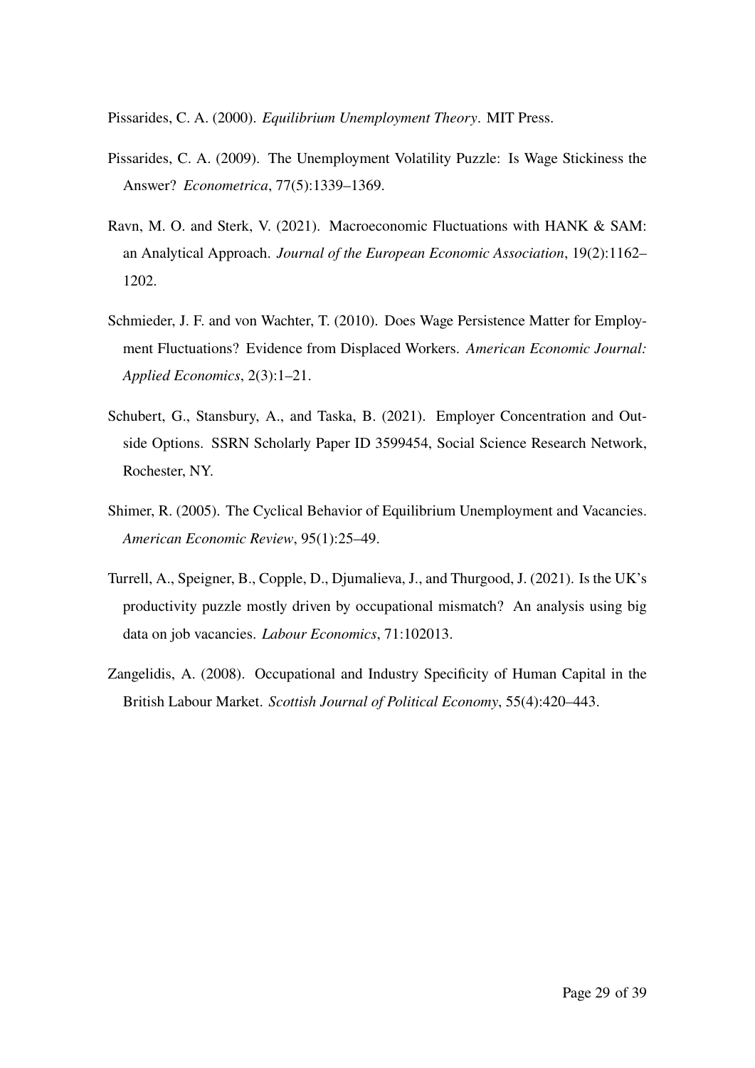Pissarides, C. A. (2000). *Equilibrium Unemployment Theory*. MIT Press.

- Pissarides, C. A. (2009). The Unemployment Volatility Puzzle: Is Wage Stickiness the Answer? *Econometrica*, 77(5):1339–1369.
- Ravn, M. O. and Sterk, V. (2021). Macroeconomic Fluctuations with HANK & SAM: an Analytical Approach. *Journal of the European Economic Association*, 19(2):1162– 1202.
- Schmieder, J. F. and von Wachter, T. (2010). Does Wage Persistence Matter for Employment Fluctuations? Evidence from Displaced Workers. *American Economic Journal: Applied Economics*, 2(3):1–21.
- Schubert, G., Stansbury, A., and Taska, B. (2021). Employer Concentration and Outside Options. SSRN Scholarly Paper ID 3599454, Social Science Research Network, Rochester, NY.
- Shimer, R. (2005). The Cyclical Behavior of Equilibrium Unemployment and Vacancies. *American Economic Review*, 95(1):25–49.
- Turrell, A., Speigner, B., Copple, D., Djumalieva, J., and Thurgood, J. (2021). Is the UK's productivity puzzle mostly driven by occupational mismatch? An analysis using big data on job vacancies. *Labour Economics*, 71:102013.
- Zangelidis, A. (2008). Occupational and Industry Specificity of Human Capital in the British Labour Market. *Scottish Journal of Political Economy*, 55(4):420–443.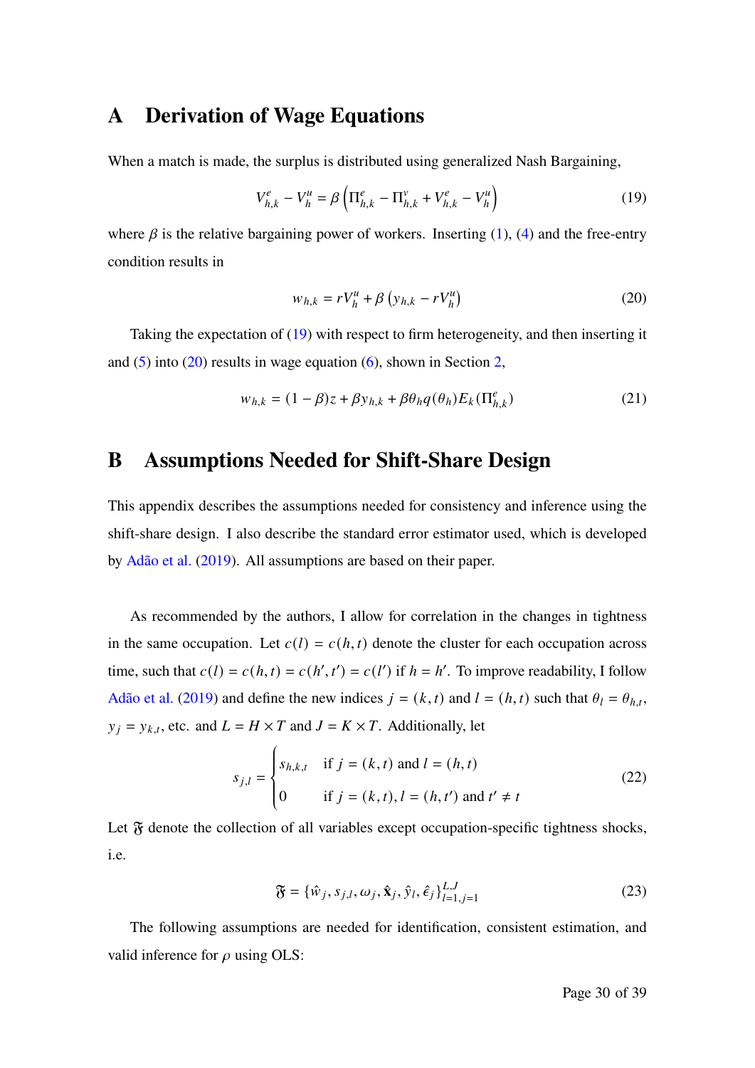### **A Derivation of Wage Equations**

When a match is made, the surplus is distributed using generalized Nash Bargaining,

$$
V_{h,k}^e - V_h^u = \beta \left( \Pi_{h,k}^e - \Pi_{h,k}^v + V_{h,k}^e - V_h^u \right)
$$
 (19)

where  $\beta$  is the relative bargaining power of workers. Inserting (1), (4) and the free-entry condition results in

$$
w_{h,k} = rV_h^u + \beta \left( y_{h,k} - rV_h^u \right) \tag{20}
$$

Taking the expectation of (19) with respect to firm heterogeneity, and then inserting it and  $(5)$  into  $(20)$  results in wage equation  $(6)$ , shown in Section 2,

$$
w_{h,k} = (1 - \beta)z + \beta y_{h,k} + \beta \theta_h q(\theta_h) E_k(\Pi_{h,k}^e)
$$
 (21)

# **B Assumptions Needed for Shift-Share Design**

This appendix describes the assumptions needed for consistency and inference using the shift-share design. I also describe the standard error estimator used, which is developed by Adão et al. (2019). All assumptions are based on their paper.

As recommended by the authors, I allow for correlation in the changes in tightness in the same occupation. Let  $c(l) = c(h, t)$  denote the cluster for each occupation across time, such that  $c(l) = c(h, t) = c(h', t') = c(l')$  if  $h = h'$ . To improve readability, I follow Adão et al. (2019) and define the new indices  $j = (k, t)$  and  $l = (h, t)$  such that  $\theta_l = \theta_{h,t}$ ,  $y_i = y_{k,t}$ , etc. and  $L = H \times T$  and  $J = K \times T$ . Additionally, let

$$
s_{j,l} = \begin{cases} s_{h,k,t} & \text{if } j = (k, t) \text{ and } l = (h, t) \\ 0 & \text{if } j = (k, t), l = (h, t') \text{ and } t' \neq t \end{cases}
$$
(22)

Let  $\mathfrak F$  denote the collection of all variables except occupation-specific tightness shocks, i.e.

$$
\mathfrak{F} = \{\hat{w}_j, s_{j,l}, \omega_j, \hat{\mathbf{x}}_j, \hat{y}_l, \hat{\epsilon}_j\}_{l=1, j=1}^{L, J}
$$
\n(23)

The following assumptions are needed for identification, consistent estimation, and valid inference for  $\rho$  using OLS: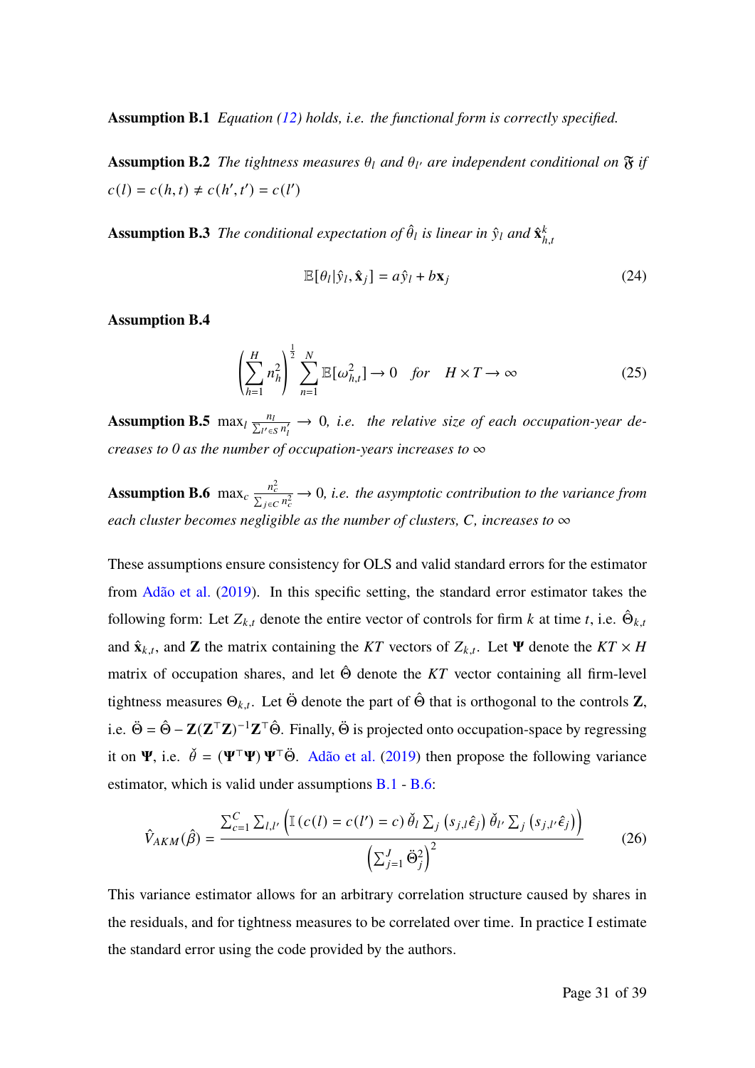**Assumption B.1** *Equation (12) holds, i.e. the functional form is correctly specified.*

**Assumption B.2** *The tightness measures*  $\theta_l$  *and*  $\theta_{l'}$  *are independent conditional on*  $\mathfrak{F}$  *if*  $c(l) = c(h, t) \neq c(h', t') = c(l')$ 

**Assumption B.3** The conditional expectation of  $\hat{\theta}_l$  is linear in  $\hat{y}_l$  and  $\hat{\mathbf{x}}_k^k$  $h.t$ 

$$
\mathbb{E}[\theta_l|\hat{y}_l, \hat{\mathbf{x}}_j] = a\hat{y}_l + b\mathbf{x}_j
$$
\n(24)

**Assumption B.4**

$$
\left(\sum_{h=1}^{H} n_h^2\right)^{\frac{1}{2}} \sum_{n=1}^{N} \mathbb{E}[\omega_{h,t}^2] \to 0 \quad \text{for} \quad H \times T \to \infty \tag{25}
$$

**Assumption B.5** max<sub>l</sub>  $\frac{n_l}{\sum_{l' \in S} n'_l} \to 0$ , *i.e.* the relative size of each occupation-year de*creases to 0 as the number of occupation-years increases to* ∞

**Assumption B.6** max<sub>c</sub>  $\frac{n_c^2}{\sum_{j \in C} n_c^2} \to 0$ , *i.e. the asymptotic contribution to the variance from each cluster becomes negligible as the number of clusters, C, increases to*  $\infty$ 

These assumptions ensure consistency for OLS and valid standard errors for the estimator from Adão et al. (2019). In this specific setting, the standard error estimator takes the following form: Let  $Z_{k,t}$  denote the entire vector of controls for firm k at time t, i.e.  $\hat{\Theta}_{k,t}$ and  $\hat{\mathbf{x}}_{k,t}$ , and **Z** the matrix containing the KT vectors of  $Z_{k,t}$ . Let  $\Psi$  denote the KT  $\times$  *H* matrix of occupation shares, and let  $\hat{\Theta}$  denote the KT vector containing all firm-level tightness measures  $\Theta_{k,t}$ . Let  $\ddot{\Theta}$  denote the part of  $\hat{\Theta}$  that is orthogonal to the controls **Z**, i.e.  $\ddot{\Theta} = \hat{\Theta} - \mathbf{Z}(\mathbf{Z}^\top \mathbf{Z})^{-1} \mathbf{Z}^\top \hat{\Theta}$ . Finally,  $\ddot{\Theta}$  is projected onto occupation-space by regressing it on  $\Psi$ , i.e.  $\check{\theta} = (\Psi^{\top}\Psi) \Psi^{\top}\check{\Theta}$ . Adão et al. (2019) then propose the following variance estimator, which is valid under assumptions B.1 - B.6:

$$
\hat{V}_{AKM}(\hat{\beta}) = \frac{\sum_{c=1}^{C} \sum_{l,l'} \left( \mathbb{I}\left(c(l) = c(l') = c\right) \check{\theta}_l \sum_j \left(s_{j,l} \hat{\epsilon}_j\right) \check{\theta}_{l'} \sum_j \left(s_{j,l'} \hat{\epsilon}_j\right) \right)}{\left(\sum_{j=1}^{J} \check{\Theta}_j^2\right)^2} \tag{26}
$$

This variance estimator allows for an arbitrary correlation structure caused by shares in the residuals, and for tightness measures to be correlated over time. In practice I estimate the standard error using the code provided by the authors.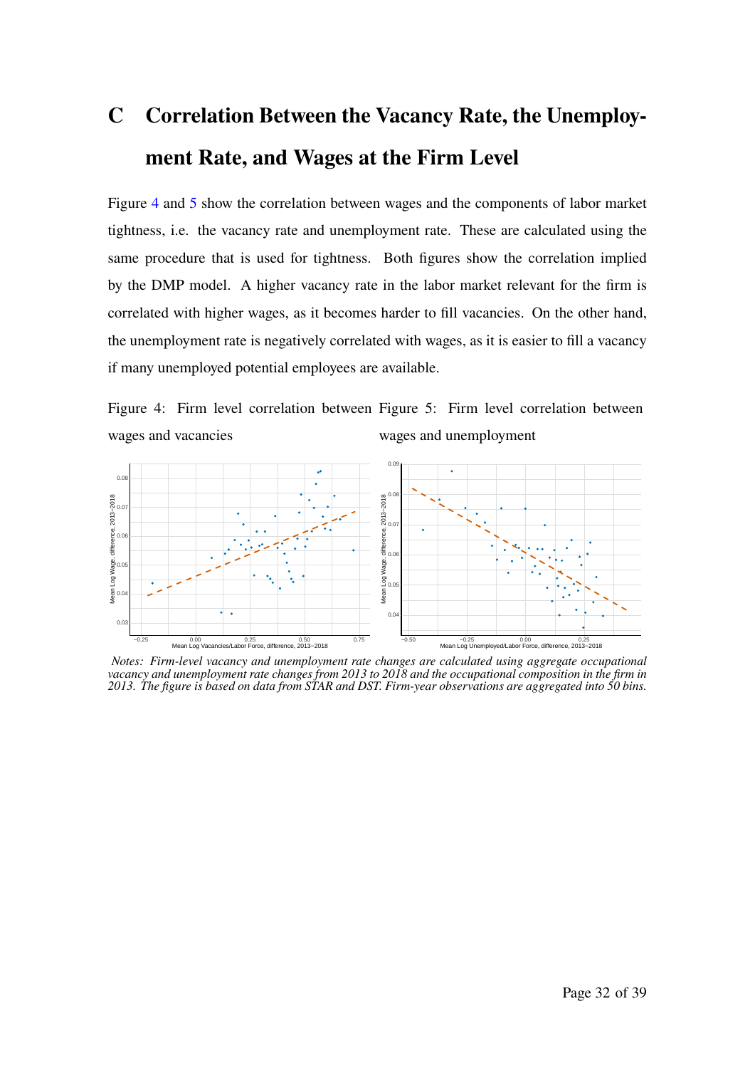# **C Correlation Between the Vacancy Rate, the Unemployment Rate, and Wages at the Firm Level**

Figure 4 and 5 show the correlation between wages and the components of labor market tightness, i.e. the vacancy rate and unemployment rate. These are calculated using the same procedure that is used for tightness. Both figures show the correlation implied by the DMP model. A higher vacancy rate in the labor market relevant for the firm is correlated with higher wages, as it becomes harder to fill vacancies. On the other hand, the unemployment rate is negatively correlated with wages, as it is easier to fill a vacancy if many unemployed potential employees are available.

Figure 4: Firm level correlation between Figure 5: Firm level correlation between wages and vacancies wages and unemployment



*Notes: Firm-level vacancy and unemployment rate changes are calculated using aggregate occupational vacancy and unemployment rate changes from 2013 to 2018 and the occupational composition in the firm in 2013. The figure is based on data from STAR and DST. Firm-year observations are aggregated into 50 bins.*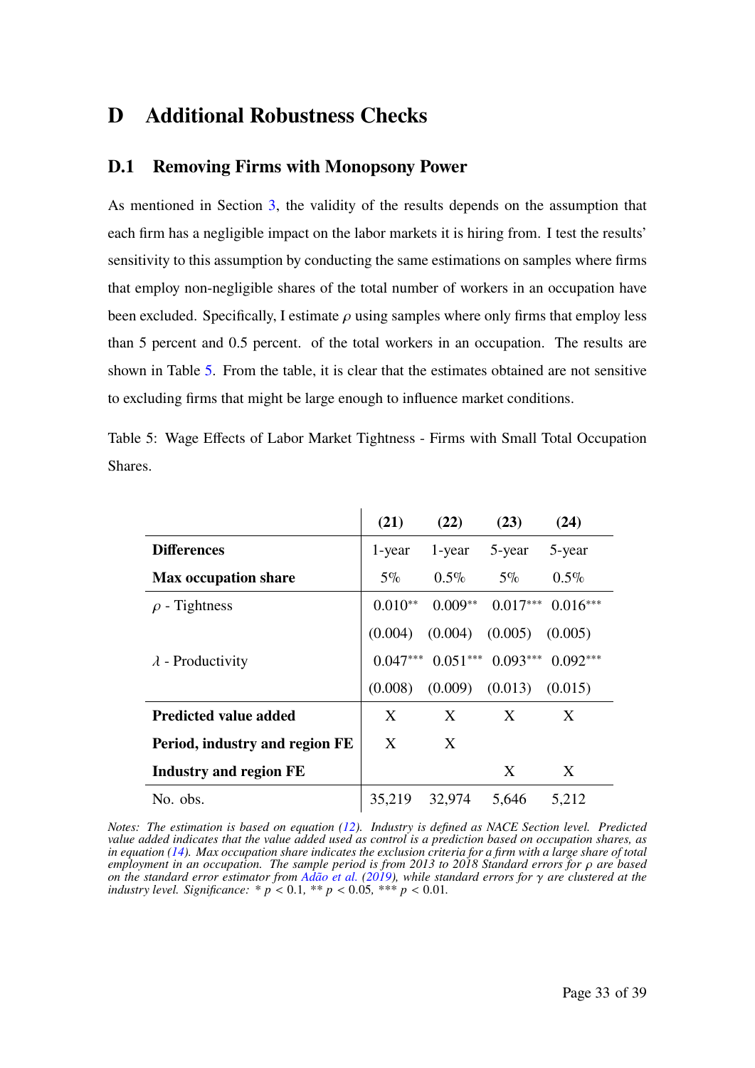# **D Additional Robustness Checks**

### **D.1 Removing Firms with Monopsony Power**

As mentioned in Section 3, the validity of the results depends on the assumption that each firm has a negligible impact on the labor markets it is hiring from. I test the results' sensitivity to this assumption by conducting the same estimations on samples where firms that employ non-negligible shares of the total number of workers in an occupation have been excluded. Specifically, I estimate  $\rho$  using samples where only firms that employ less than 5 percent and 0.5 percent. of the total workers in an occupation. The results are shown in Table 5. From the table, it is clear that the estimates obtained are not sensitive to excluding firms that might be large enough to influence market conditions.

Table 5: Wage Effects of Labor Market Tightness - Firms with Small Total Occupation Shares.

|                                | (21)       | (22)      | (23)                | (24)       |
|--------------------------------|------------|-----------|---------------------|------------|
| <b>Differences</b>             | 1-year     | 1-year    | 5-year              | 5-year     |
| <b>Max occupation share</b>    | $5\%$      | $0.5\%$   | $5\%$               | $0.5\%$    |
| $\rho$ - Tightness             | $0.010**$  | $0.009**$ | $0.017***$          | $0.016***$ |
|                                | (0.004)    | (0.004)   | (0.005)             | (0.005)    |
| $\lambda$ - Productivity       | $0.047***$ |           | $0.051***$ 0.093*** | $0.092***$ |
|                                | (0.008)    | (0.009)   | (0.013)             | (0.015)    |
| <b>Predicted value added</b>   | X          | X         | X                   | X          |
| Period, industry and region FE | X          | X         |                     |            |
| <b>Industry and region FE</b>  |            |           | X                   | X          |
| No. obs.                       | 35,219     | 32,974    | 5,646               | 5,212      |

*Notes: The estimation is based on equation (12). Industry is defined as NACE Section level. Predicted value added indicates that the value added used as control is a prediction based on occupation shares, as in equation (14). Max occupation share indicates the exclusion criteria for a firm with a large share of total employment in an occupation. The sample period is from 2013 to 2018 Standard errors for*  $\rho$  *are based on the standard error estimator from*  $\overline{Ad\tilde{a}}$  *et al.* (2019), while standard errors for  $\gamma$  are clustered at the *industry level. Significance:*  $* p < 0.1, ** p < 0.05, ** p < 0.01$ .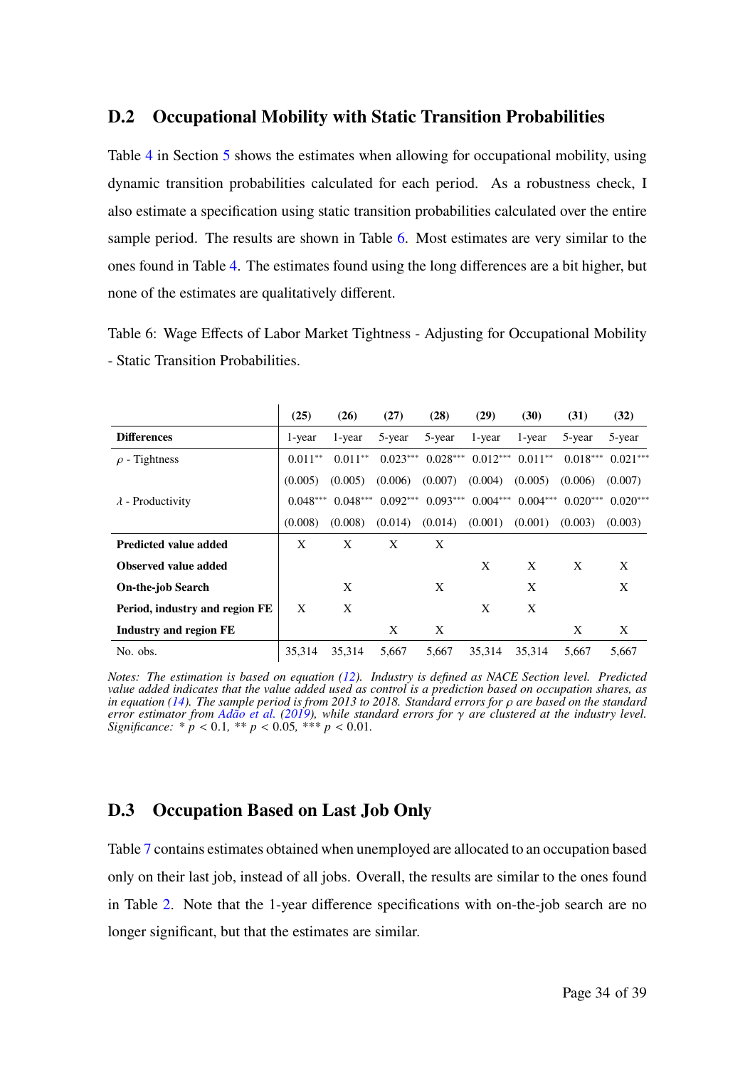### **D.2 Occupational Mobility with Static Transition Probabilities**

Table 4 in Section 5 shows the estimates when allowing for occupational mobility, using dynamic transition probabilities calculated for each period. As a robustness check, I also estimate a specification using static transition probabilities calculated over the entire sample period. The results are shown in Table 6. Most estimates are very similar to the ones found in Table 4. The estimates found using the long differences are a bit higher, but none of the estimates are qualitatively different.

Table 6: Wage Effects of Labor Market Tightness - Adjusting for Occupational Mobility - Static Transition Probabilities.

|                                | (25)       | (26)       | (27)       | (28)       | (29)       | (30)       | (31)       | (32)       |
|--------------------------------|------------|------------|------------|------------|------------|------------|------------|------------|
| <b>Differences</b>             | 1-year     | 1-year     | 5-year     | 5-year     | 1-year     | 1-year     | 5-year     | 5-year     |
| $\rho$ - Tightness             | $0.011**$  | $0.011**$  | $0.023***$ | $0.028***$ | $0.012***$ | $0.011**$  | $0.018***$ | $0.021***$ |
|                                | (0.005)    | (0.005)    | (0.006)    | (0.007)    | (0.004)    | (0.005)    | (0.006)    | (0.007)    |
| $\lambda$ - Productivity       | $0.048***$ | $0.048***$ | $0.092***$ | $0.093***$ | $0.004***$ | $0.004***$ | $0.020***$ | $0.020***$ |
|                                | (0.008)    | (0.008)    | (0.014)    | (0.014)    | (0.001)    | (0.001)    | (0.003)    | (0.003)    |
| <b>Predicted value added</b>   | X          | X          | X          | X          |            |            |            |            |
| Observed value added           |            |            |            |            | X          | X          | X          | X          |
| <b>On-the-job Search</b>       |            | X          |            | X          |            | X          |            | X          |
| Period, industry and region FE | X          | X          |            |            | X          | X          |            |            |
| Industry and region FE         |            |            | X          | X          |            |            | X          | X          |
| No. obs.                       | 35.314     | 35,314     | 5,667      | 5,667      | 35.314     | 35.314     | 5.667      | 5,667      |

*Notes: The estimation is based on equation (12). Industry is defined as NACE Section level. Predicted value added indicates that the value added used as control is a prediction based on occupation shares, as in equation (14). The sample period is from 2013 to 2018. Standard errors for*  $\rho$  *are based on the standard error estimator from Adão et al. (2019), while standard errors for* 𝛾 *are clustered at the industry level. Significance:*  $* p < 0.1, ** p < 0.05, ** p < 0.01$ .

### **D.3 Occupation Based on Last Job Only**

Table 7 contains estimates obtained when unemployed are allocated to an occupation based only on their last job, instead of all jobs. Overall, the results are similar to the ones found in Table 2. Note that the 1-year difference specifications with on-the-job search are no longer significant, but that the estimates are similar.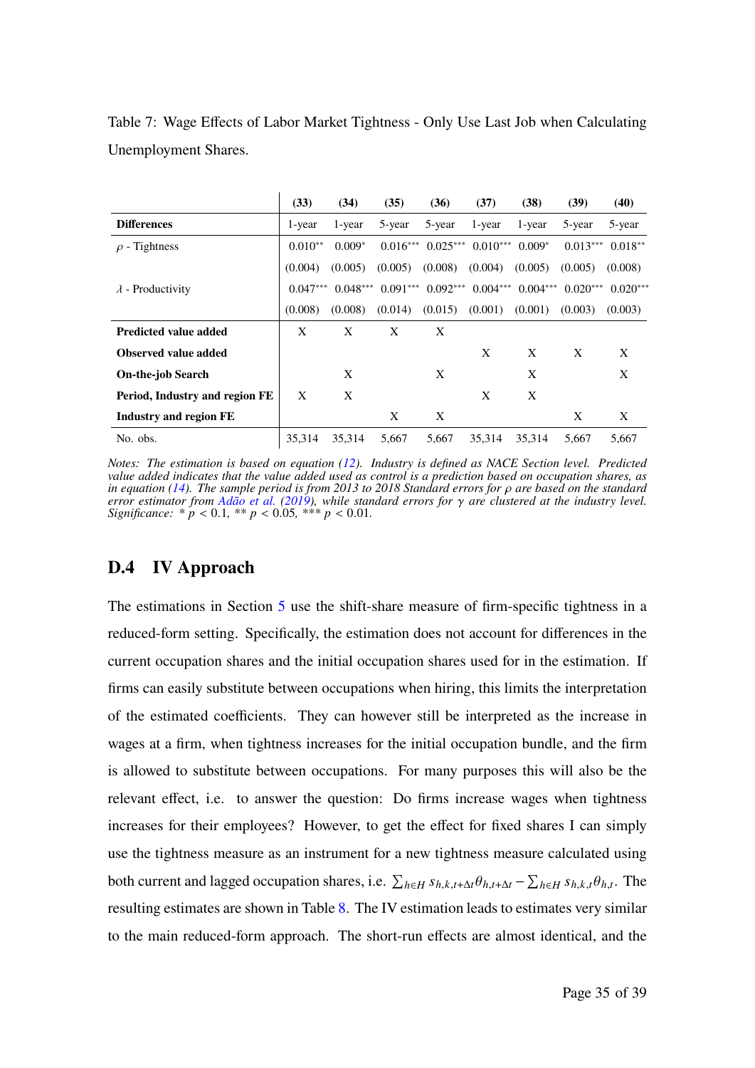|                                | (33)       | (34)       | (35)       | (36)       | (37)       | (38)       | (39)       | (40)       |
|--------------------------------|------------|------------|------------|------------|------------|------------|------------|------------|
| <b>Differences</b>             | 1-year     | 1-year     | 5-year     | 5-year     | 1-year     | 1-year     | 5-year     | 5-year     |
| $\rho$ - Tightness             | $0.010**$  | $0.009*$   | $0.016***$ | $0.025***$ | $0.010***$ | $0.009*$   | $0.013***$ | $0.018**$  |
|                                | (0.004)    | (0.005)    | (0.005)    | (0.008)    | (0.004)    | (0.005)    | (0.005)    | (0.008)    |
| $\lambda$ - Productivity       | $0.047***$ | $0.048***$ | $0.091***$ | $0.092***$ | $0.004***$ | $0.004***$ | $0.020***$ | $0.020***$ |
|                                | (0.008)    | (0.008)    | (0.014)    | (0.015)    | (0.001)    | (0.001)    | (0.003)    | (0.003)    |
| <b>Predicted value added</b>   | X          | X          | X          | X          |            |            |            |            |
| <b>Observed value added</b>    |            |            |            |            | X          | X          | X          | X          |
| <b>On-the-job Search</b>       |            | X          |            | X          |            | X          |            | X          |
| Period, Industry and region FE | X          | X          |            |            | X          | X          |            |            |
| Industry and region FE         |            |            | X          | X          |            |            | X          | X          |
| No. obs.                       | 35.314     | 35.314     | 5.667      | 5.667      | 35.314     | 35.314     | 5.667      | 5.667      |

Table 7: Wage Effects of Labor Market Tightness - Only Use Last Job when Calculating Unemployment Shares.

*Notes: The estimation is based on equation (12). Industry is defined as NACE Section level. Predicted value added indicates that the value added used as control is a prediction based on occupation shares, as in equation (14). The sample period is from 2013 to 2018 Standard errors for*  $\rho$  *are based on the standard error estimator from Adão et al.* (2019), while standard errors for  $\gamma$  are clustered at the industry level. *Significance:*  $* p < 0.1, ** p < 0.05, ** p < 0.01$ .

### **D.4 IV Approach**

The estimations in Section 5 use the shift-share measure of firm-specific tightness in a reduced-form setting. Specifically, the estimation does not account for differences in the current occupation shares and the initial occupation shares used for in the estimation. If firms can easily substitute between occupations when hiring, this limits the interpretation of the estimated coefficients. They can however still be interpreted as the increase in wages at a firm, when tightness increases for the initial occupation bundle, and the firm is allowed to substitute between occupations. For many purposes this will also be the relevant effect, i.e. to answer the question: Do firms increase wages when tightness increases for their employees? However, to get the effect for fixed shares I can simply use the tightness measure as an instrument for a new tightness measure calculated using both current and lagged occupation shares, i.e.  $\sum_{h \in H} s_{h,k,t} \theta_{h,t} - \sum_{h \in H} s_{h,k,t} \theta_{h,t}$ . The resulting estimates are shown in Table 8. The IV estimation leads to estimates very similar to the main reduced-form approach. The short-run effects are almost identical, and the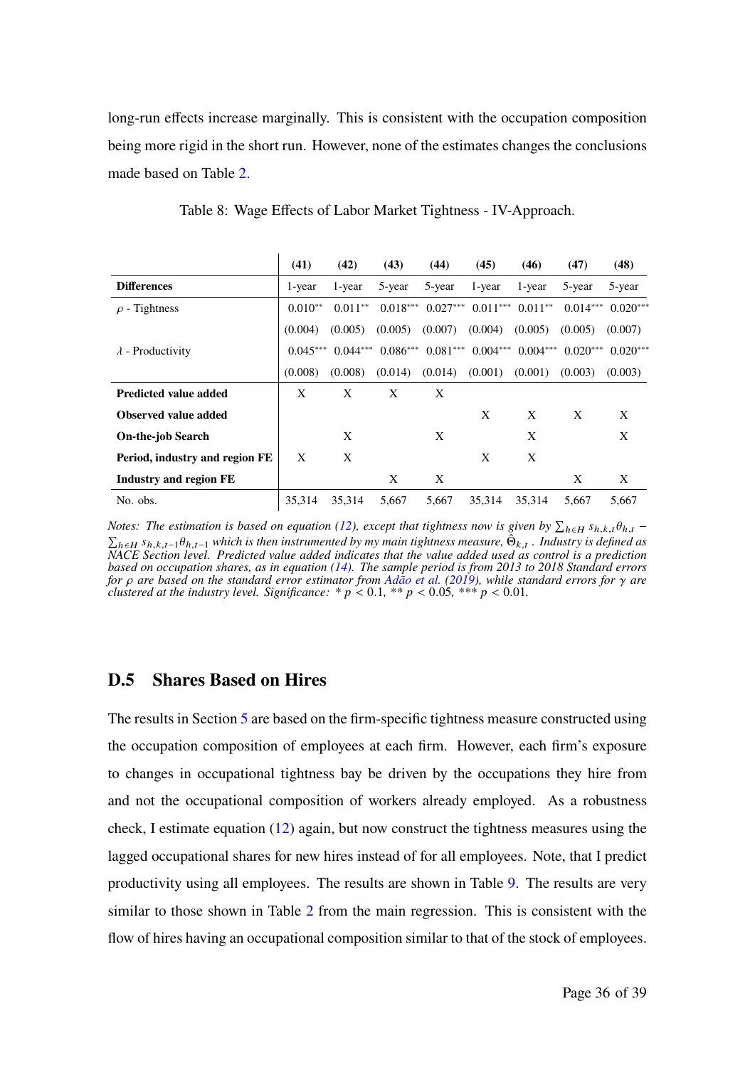long-run effects increase marginally. This is consistent with the occupation composition being more rigid in the short run. However, none of the estimates changes the conclusions made based on Table 2.

|                                | (41)       | (42)       | (43)       | (44)       | (45)       | (46)       | (47)       | (48)       |
|--------------------------------|------------|------------|------------|------------|------------|------------|------------|------------|
| <b>Differences</b>             | 1-year     | 1-year     | 5-year     | 5-year     | 1-year     | 1-year     | 5-year     | 5-year     |
| $\rho$ - Tightness             | $0.010**$  | $0.011**$  | $0.018***$ | $0.027***$ | $0.011***$ | $0.011**$  | $0.014***$ | $0.020***$ |
|                                | (0.004)    | (0.005)    | (0.005)    | (0.007)    | (0.004)    | (0.005)    | (0.005)    | (0.007)    |
| $\lambda$ - Productivity       | $0.045***$ | $0.044***$ | $0.086***$ | $0.081***$ | $0.004***$ | $0.004***$ | $0.020***$ | $0.020***$ |
|                                | (0.008)    | (0.008)    | (0.014)    | (0.014)    | (0.001)    | (0.001)    | (0.003)    | (0.003)    |
| <b>Predicted value added</b>   | X          | X          | X          | X          |            |            |            |            |
| <b>Observed value added</b>    |            |            |            |            | X          | X          | X          | X          |
| <b>On-the-job Search</b>       |            | X          |            | X          |            | X          |            | X          |
| Period, industry and region FE | X          | X          |            |            | X          | X          |            |            |
| Industry and region FE         |            |            | X          | X          |            |            | X          | X          |
| No. obs.                       | 35.314     | 35,314     | 5,667      | 5,667      | 35.314     | 35.314     | 5.667      | 5,667      |

Table 8: Wage Effects of Labor Market Tightness - IV-Approach.

*Notes: The estimation is based on equation (12), except that tightness now is given by*  $\sum_{h \in H} s_{h,k,t} \theta_{h,t}$  –  $\sum_{h\in H} s_{h,k,t-1}\theta_{h,t-1}$  which is then instrumented by my main tightness measure,  $\hat{\Theta}_{k,t}$ . Industry is defined as *NACE Section level. Predicted value added indicates that the value added used as control is a prediction based on occupation shares, as in equation (14). The sample period is from 2013 to 2018 Standard errors for* 𝜌 *are based on the standard error estimator from Adão et al. (2019), while standard errors for* 𝛾 *are clustered at the industry level. Significance:*  $* p < 0.1, ** p < 0.05, ** p < 0.01$ .

### **D.5 Shares Based on Hires**

The results in Section 5 are based on the firm-specific tightness measure constructed using the occupation composition of employees at each firm. However, each firm's exposure to changes in occupational tightness bay be driven by the occupations they hire from and not the occupational composition of workers already employed. As a robustness check, I estimate equation (12) again, but now construct the tightness measures using the lagged occupational shares for new hires instead of for all employees. Note, that I predict productivity using all employees. The results are shown in Table 9. The results are very similar to those shown in Table 2 from the main regression. This is consistent with the flow of hires having an occupational composition similar to that of the stock of employees.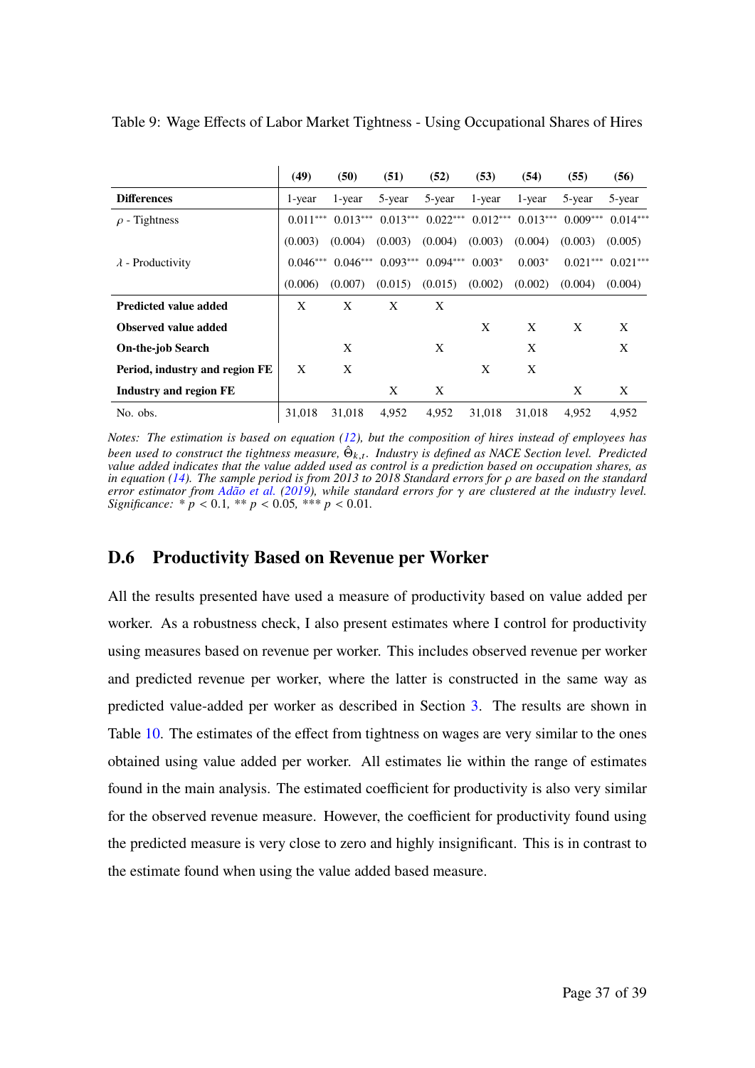|                                | (49)       | (50)       | (51)       | (52)       | (53)       | (54)       | (55)       | (56)       |
|--------------------------------|------------|------------|------------|------------|------------|------------|------------|------------|
| <b>Differences</b>             | 1-year     | 1-year     | 5-year     | 5-year     | 1-year     | 1-year     | 5-year     | 5-year     |
| $\rho$ - Tightness             | $0.011***$ | $0.013***$ | $0.013***$ | $0.022***$ | $0.012***$ | $0.013***$ | $0.009***$ | $0.014***$ |
|                                | (0.003)    | (0.004)    | (0.003)    | (0.004)    | (0.003)    | (0.004)    | (0.003)    | (0.005)    |
| $\lambda$ - Productivity       | $0.046***$ | $0.046***$ | $0.093***$ | $0.094***$ | $0.003*$   | $0.003*$   | $0.021***$ | $0.021***$ |
|                                | (0.006)    | (0.007)    | (0.015)    | (0.015)    | (0.002)    | (0.002)    | (0.004)    | (0.004)    |
| <b>Predicted value added</b>   | X          | X          | X          | X          |            |            |            |            |
| Observed value added           |            |            |            |            | X          | X          | X          | X          |
| <b>On-the-job Search</b>       |            | X          |            | X          |            | X          |            | X          |
| Period, industry and region FE | X          | X          |            |            | X          | X          |            |            |
| Industry and region FE         |            |            | X          | X          |            |            | X          | X          |
| No. obs.                       | 31,018     | 31,018     | 4.952      | 4.952      | 31,018     | 31,018     | 4.952      | 4.952      |

Table 9: Wage Effects of Labor Market Tightness - Using Occupational Shares of Hires

*Notes: The estimation is based on equation (12), but the composition of hires instead of employees has* been used to construct the tightness measure,  $\hat{\Theta}_{k,t}$ . Industry is defined as NACE Section level. Predicted *value added indicates that the value added used as control is a prediction based on occupation shares, as in equation (14). The sample period is from 2013 to 2018 Standard errors for*  $\rho$  *are based on the standard error estimator from Adão et al. (2019), while standard errors for* 𝛾 *are clustered at the industry level. Significance:*  $* p < 0.1, ** p < 0.05, ** p < 0.01$ .

### **D.6 Productivity Based on Revenue per Worker**

All the results presented have used a measure of productivity based on value added per worker. As a robustness check, I also present estimates where I control for productivity using measures based on revenue per worker. This includes observed revenue per worker and predicted revenue per worker, where the latter is constructed in the same way as predicted value-added per worker as described in Section 3. The results are shown in Table 10. The estimates of the effect from tightness on wages are very similar to the ones obtained using value added per worker. All estimates lie within the range of estimates found in the main analysis. The estimated coefficient for productivity is also very similar for the observed revenue measure. However, the coefficient for productivity found using the predicted measure is very close to zero and highly insignificant. This is in contrast to the estimate found when using the value added based measure.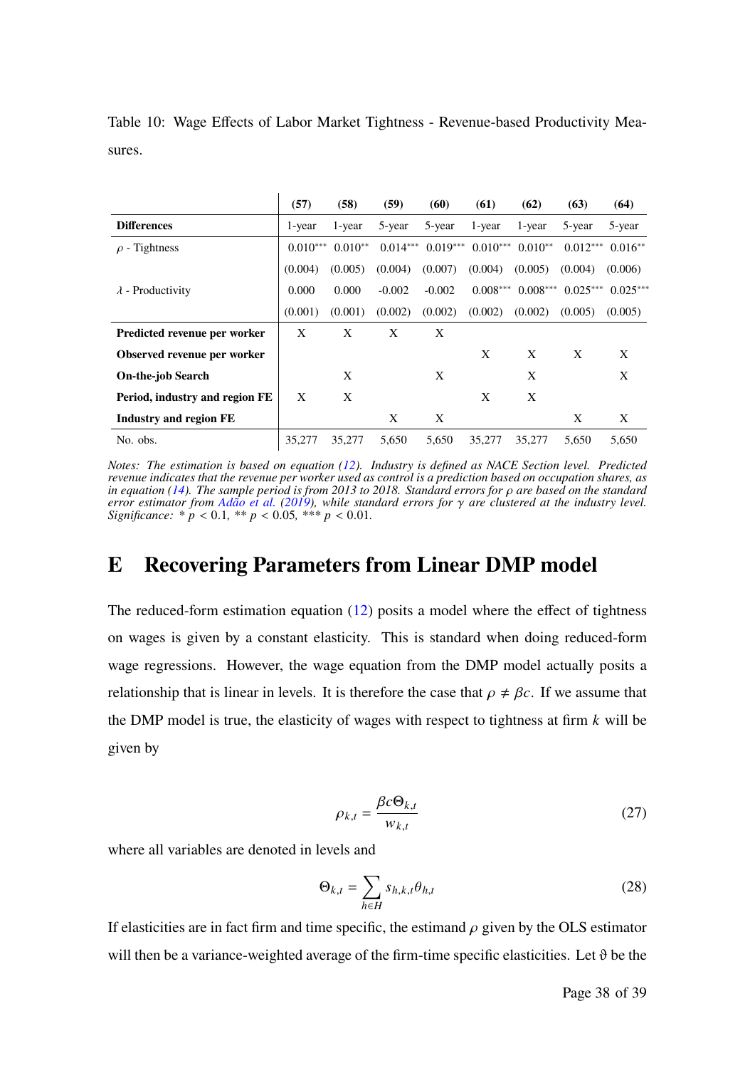|                                | (57)       | (58)      | (59)       | (60)       | (61)       | (62)       | (63)       | (64)       |
|--------------------------------|------------|-----------|------------|------------|------------|------------|------------|------------|
| <b>Differences</b>             | 1-year     | 1-year    | 5-year     | 5-year     | 1-year     | 1-year     | 5-year     | 5-year     |
| $\rho$ - Tightness             | $0.010***$ | $0.010**$ | $0.014***$ | $0.019***$ | $0.010***$ | $0.010**$  | $0.012***$ | $0.016**$  |
|                                | (0.004)    | (0.005)   | (0.004)    | (0.007)    | (0.004)    | (0.005)    | (0.004)    | (0.006)    |
| $\lambda$ - Productivity       | 0.000      | 0.000     | $-0.002$   | $-0.002$   | $0.008***$ | $0.008***$ | $0.025***$ | $0.025***$ |
|                                | (0.001)    | (0.001)   | (0.002)    | (0.002)    | (0.002)    | (0.002)    | (0.005)    | (0.005)    |
| Predicted revenue per worker   | X          | X         | X          | X          |            |            |            |            |
| Observed revenue per worker    |            |           |            |            | X          | X          | X          | X          |
| <b>On-the-job Search</b>       |            | X         |            | X          |            | X          |            | X          |
| Period, industry and region FE | X          | X         |            |            | X          | X          |            |            |
| <b>Industry and region FE</b>  |            |           | X          | X          |            |            | X          | X          |
| No. obs.                       | 35,277     | 35,277    | 5.650      | 5,650      | 35,277     | 35,277     | 5.650      | 5.650      |

Table 10: Wage Effects of Labor Market Tightness - Revenue-based Productivity Measures.

 $\mathbf{r}$ 

*Notes: The estimation is based on equation (12). Industry is defined as NACE Section level. Predicted revenue indicates that the revenue per worker used as control is a prediction based on occupation shares, as in equation (14). The sample period is from 2013 to 2018. Standard errors for*  $\rho$  *are based on the standard error estimator from Adão et al.* (2019), while standard errors for  $\gamma$  are clustered at the industry level. *Significance:*  $* p < 0.1, ** p < 0.05, ** p < 0.01$ .

# **E Recovering Parameters from Linear DMP model**

The reduced-form estimation equation (12) posits a model where the effect of tightness on wages is given by a constant elasticity. This is standard when doing reduced-form wage regressions. However, the wage equation from the DMP model actually posits a relationship that is linear in levels. It is therefore the case that  $\rho \neq \beta c$ . If we assume that the DMP model is true, the elasticity of wages with respect to tightness at firm  $k$  will be given by

$$
\rho_{k,t} = \frac{\beta c \Theta_{k,t}}{w_{k,t}} \tag{27}
$$

where all variables are denoted in levels and

$$
\Theta_{k,t} = \sum_{h \in H} s_{h,k,t} \theta_{h,t} \tag{28}
$$

If elasticities are in fact firm and time specific, the estimand  $\rho$  given by the OLS estimator will then be a variance-weighted average of the firm-time specific elasticities. Let  $\vartheta$  be the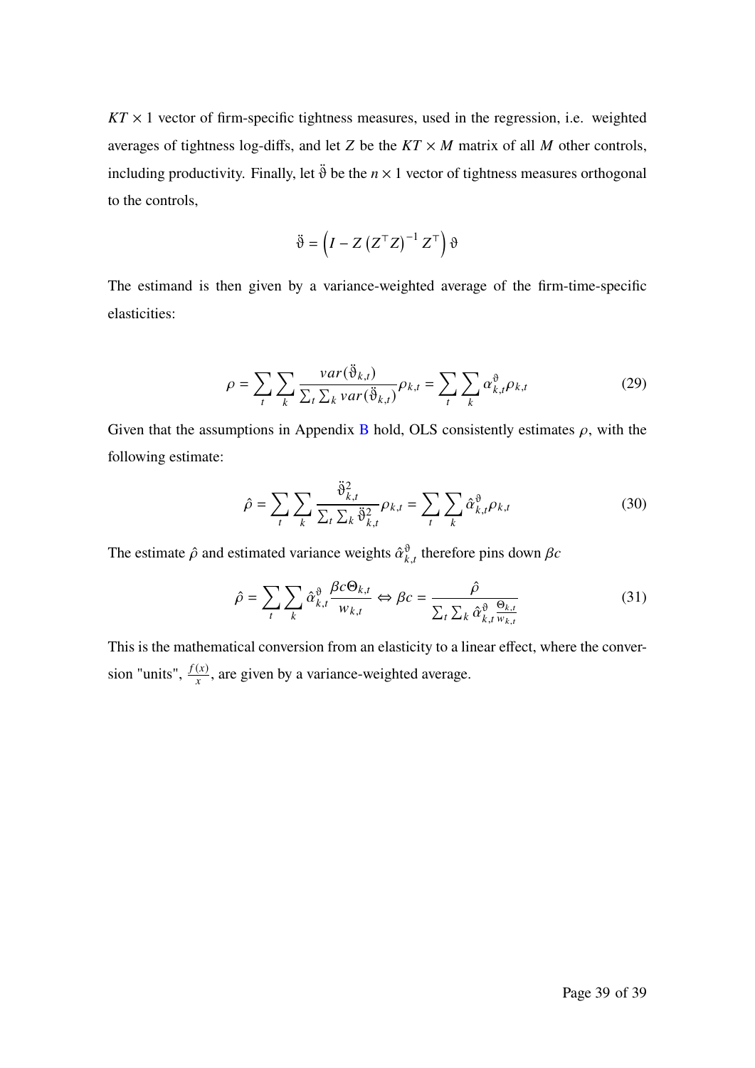$KT \times 1$  vector of firm-specific tightness measures, used in the regression, i.e. weighted averages of tightness log-diffs, and let Z be the  $KT \times M$  matrix of all M other controls, including productivity. Finally, let  $\ddot{\vartheta}$  be the  $n \times 1$  vector of tightness measures orthogonal to the controls,

$$
\ddot{\vartheta} = \left(I - Z\left(Z^{\top}Z\right)^{-1}Z^{\top}\right)\vartheta
$$

The estimand is then given by a variance-weighted average of the firm-time-specific elasticities:

$$
\rho = \sum_{t} \sum_{k} \frac{var(\tilde{\vartheta}_{k,t})}{\sum_{t} \sum_{k} var(\tilde{\vartheta}_{k,t})} \rho_{k,t} = \sum_{t} \sum_{k} \alpha_{k,t}^{\vartheta} \rho_{k,t}
$$
(29)

Given that the assumptions in Appendix B hold, OLS consistently estimates  $\rho$ , with the following estimate:

$$
\hat{\rho} = \sum_{t} \sum_{k} \frac{\ddot{\vartheta}_{k,t}^{2}}{\sum_{t} \sum_{k} \ddot{\vartheta}_{k,t}^{2}} \rho_{k,t} = \sum_{t} \sum_{k} \hat{\alpha}_{k,t}^{\vartheta} \rho_{k,t}
$$
(30)

The estimate  $\hat{\rho}$  and estimated variance weights  $\hat{\alpha}_{k,t}^{\hat{\theta}}$  therefore pins down  $\beta c$ 

$$
\hat{\rho} = \sum_{t} \sum_{k} \hat{\alpha}_{k,t}^{\vartheta} \frac{\beta c \Theta_{k,t}}{w_{k,t}} \Leftrightarrow \beta c = \frac{\hat{\rho}}{\sum_{t} \sum_{k} \hat{\alpha}_{k,t}^{\vartheta} \frac{\Theta_{k,t}}{w_{k,t}}}
$$
(31)

This is the mathematical conversion from an elasticity to a linear effect, where the conversion "units",  $\frac{f(x)}{x}$ , are given by a variance-weighted average.